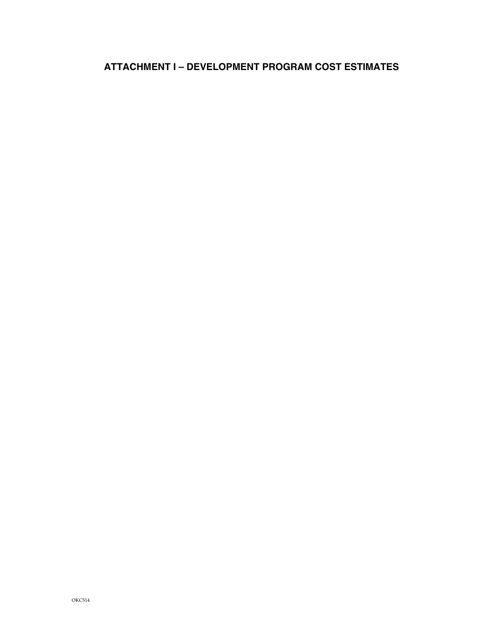# **ATTACHMENT I – DEVELOPMENT PROGRAM COST ESTIMATES**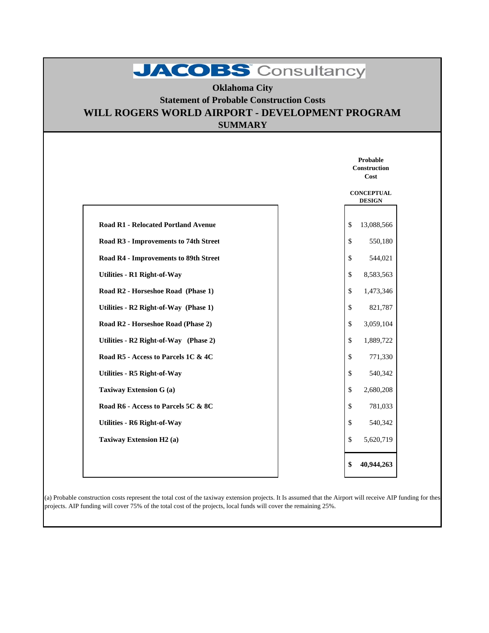# JACOBS Consultancy

### **SUMMARY Oklahoma City Statement of Probable Construction Costs WILL ROGERS WORLD AIRPORT - DEVELOPMENT PROGRAM**

|                                            | Probable<br><b>Construction</b><br>Cost |
|--------------------------------------------|-----------------------------------------|
|                                            | <b>CONCEPTUAL</b><br><b>DESIGN</b>      |
| <b>Road R1 - Relocated Portland Avenue</b> | \$<br>13,088,566                        |
| Road R3 - Improvements to 74th Street      | \$<br>550,180                           |
| Road R4 - Improvements to 89th Street      | \$<br>544,021                           |
| <b>Utilities - R1 Right-of-Way</b>         | $\mathbb{S}$<br>8,583,563               |
| Road R2 - Horseshoe Road (Phase 1)         | \$<br>1,473,346                         |
| Utilities - R2 Right-of-Way (Phase 1)      | $\mathbb{S}$<br>821,787                 |
| Road R2 - Horseshoe Road (Phase 2)         | \$<br>3,059,104                         |
| Utilities - R2 Right-of-Way (Phase 2)      | $\mathbf{\hat{S}}$<br>1,889,722         |
| Road R5 - Access to Parcels 1C & 4C        | \$<br>771,330                           |
| <b>Utilities - R5 Right-of-Way</b>         | \$<br>540,342                           |
| <b>Taxiway Extension G (a)</b>             | \$<br>2,680,208                         |
| Road R6 - Access to Parcels 5C & 8C        | \$<br>781,033                           |
| <b>Utilities - R6 Right-of-Way</b>         | \$<br>540,342                           |
| Taxiway Extension H2 (a)                   | \$<br>5,620,719                         |
|                                            | 40,944,263<br>\$                        |

(a) Probable construction costs represent the total cost of the taxiway extension projects. It Is assumed that the Airport will receive AIP funding for these projects. AIP funding will cover 75% of the total cost of the projects, local funds will cover the remaining 25%.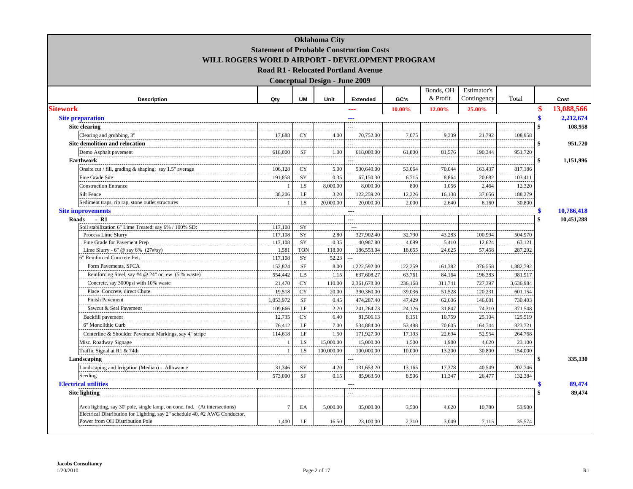|                                                                                                                |                |            | <b>Oklahoma City</b>                 | <b>Statement of Probable Construction Costs</b> |         |           |             |           |                  |
|----------------------------------------------------------------------------------------------------------------|----------------|------------|--------------------------------------|-------------------------------------------------|---------|-----------|-------------|-----------|------------------|
| WILL ROGERS WORLD AIRPORT - DEVELOPMENT PROGRAM                                                                |                |            |                                      |                                                 |         |           |             |           |                  |
|                                                                                                                |                |            |                                      | <b>Road R1 - Relocated Portland Avenue</b>      |         |           |             |           |                  |
|                                                                                                                |                |            | <b>Conceptual Design - June 2009</b> |                                                 |         |           |             |           |                  |
|                                                                                                                |                |            |                                      |                                                 |         | Bonds, OH | Estimator's |           |                  |
| <b>Description</b>                                                                                             | Qty            | <b>UM</b>  | Unit                                 | <b>Extended</b>                                 | GC's    | & Profit  | Contingency | Total     | Cost             |
| <b>Sitework</b>                                                                                                |                |            |                                      | ---                                             | 10.00%  | 12.00%    | 25.00%      |           | \$<br>13,088,566 |
| <b>Site preparation</b>                                                                                        |                |            |                                      |                                                 |         |           |             |           | 2,212,674        |
| Site clearing                                                                                                  |                |            |                                      | $\overline{a}$                                  |         |           |             |           | 108,958          |
| Clearing and grubbing, 3"                                                                                      | 17,688         | <b>CY</b>  | 4.00                                 | 70,752.00                                       | 7,075   | 9,339     | 21,792      | 108,958   |                  |
| Site demolition and relocation                                                                                 |                |            |                                      |                                                 |         |           |             |           | 951,720<br>\$    |
| Demo Asphalt pavement                                                                                          | 618,000        | SF         | 1.00                                 | 618,000.00                                      | 61,800  | 81,576    | 190,344     | 951,720   |                  |
| <b>Earthwork</b>                                                                                               |                |            |                                      |                                                 |         |           |             |           | \$<br>1,151,996  |
| Onsite cut / fill, grading & shaping; say 1.5" average                                                         | 106,128        | <b>CY</b>  | 5.00                                 | 530,640.00                                      | 53,064  | 70,044    | 163,437     | 817,186   |                  |
| Fine Grade Site                                                                                                | 191,858        | SY         | 0.35                                 | 67,150.30                                       | 6,715   | 8,864     | 20,682      | 103,411   |                  |
| <b>Construction Entrance</b>                                                                                   |                | LS         | 8,000.00                             | 8,000.00                                        | 800     | 1,056     | 2,464       | 12,320    |                  |
| Silt Fence                                                                                                     | 38,206         | LF         | 3.20                                 | 122,259.20                                      | 12,226  | 16,138    | 37,656      | 188,279   |                  |
| Sediment traps, rip rap, stone outlet structures                                                               | $\overline{1}$ | LS         | 20,000.00                            | 20,000.00                                       | 2.000   | 2,640     | 6,160       | 30,800    |                  |
| <b>Site improvements</b>                                                                                       |                |            |                                      | $---$                                           |         |           |             |           | 10,786,418       |
| Roads<br>- R1                                                                                                  |                |            |                                      | $\sim$                                          |         |           |             |           | 10,451,288       |
| Soil stabilization 6" Lime Treated: say 6% / 100% SD:                                                          | 117,108        | SY         |                                      | $\overline{\phantom{a}}$                        |         |           |             |           |                  |
| Process Lime Slurry                                                                                            | 117,108        | SY         | 2.80                                 | 327,902.40                                      | 32,790  | 43,283    | 100,994     | 504,970   |                  |
| Fine Grade for Pavement Prep                                                                                   | 117,108        | SY         | 0.35                                 | 40,987.80                                       | 4,099   | 5,410     | 12,624      | 63,121    |                  |
| Lime Slurry - 6" @ say 6% $(27\frac{H}{Sy})$                                                                   | 1,581          | <b>TON</b> | 118.00                               | 186,553.04                                      | 18,655  | 24,625    | 57,458      | 287,292   |                  |
| " Reinforced Concrete Pvt.                                                                                     | 117,108        | SY         | 52.23                                |                                                 |         |           |             |           |                  |
| Form Pavements, SFCA                                                                                           | 152,824        | <b>SF</b>  | 8.00                                 | 1,222,592.00                                    | 122,259 | 161,382   | 376,558     | 1,882,792 |                  |
| Reinforcing Steel, say #4 @ 24" oc, ew (5 % waste)                                                             | 554,442        | LB         | 1.15                                 | 637,608.27                                      | 63,761  | 84,164    | 196,383     | 981,917   |                  |
| Concrete, say 3000psi with 10% waste                                                                           | 21,470         | <b>CY</b>  | 110.00                               | 2,361,678.00                                    | 236,168 | 311,741   | 727,397     | 3,636,984 |                  |
| Place Concrete, direct Chute                                                                                   | 19,518         | <b>CY</b>  | 20.00                                | 390,360.00                                      | 39,036  | 51,528    | 120,231     | 601,154   |                  |
| <b>Finish Pavement</b>                                                                                         | 1,053,972      | <b>SF</b>  | 0.45                                 | 474,287.40                                      | 47,429  | 62,606    | 146,081     | 730,403   |                  |
| Sawcut & Seal Pavement                                                                                         | 109,666        | LF         | 2.20                                 | 241,264.73                                      | 24.126  | 31,847    | 74,310      | 371,548   |                  |
| Backfill pavement                                                                                              | 12,735         | <b>CY</b>  | 6.40                                 | 81,506.13                                       | 8,151   | 10,759    | 25,104      | 125,519   |                  |
| 6" Monolithic Curb                                                                                             | 76,412         | LF         | 7.00                                 | 534,884.00                                      | 53,488  | 70,605    | 164,744     | 823,721   |                  |
| Centerline & Shoulder Pavement Markings, say 4" stripe                                                         | 114,618        | LF         | 1.50                                 | 171,927.00                                      | 17,193  | 22,694    | 52,954      | 264,768   |                  |
| Misc. Roadway Signage                                                                                          | $\overline{1}$ | LS.        | 15,000.00                            | 15,000.00                                       | 1,500   | 1,980     | 4,620       | 23,100    |                  |
| Traffic Signal at R1 & 74th                                                                                    | $\overline{1}$ | LS         | 100,000.00                           | 100,000.00                                      | 10,000  | 13,200    | 30,800      | 154,000   |                  |
| Landscaping                                                                                                    |                |            |                                      |                                                 |         |           |             |           | \$<br>335,130    |
| Landscaping and Irrigation (Median) - Allowance                                                                | 31,346         | SY         | 4.20                                 | 131,653.20                                      | 13,165  | 17,378    | 40,549      | 202,746   |                  |
| Seeding                                                                                                        | 573,090        | SF         | 0.15                                 | 85,963.50                                       | 8,596   | 11,347    | 26,477      | 132,384   |                  |
| <b>Electrical utilities</b>                                                                                    |                |            |                                      | $- - -$                                         |         |           |             |           | 89,474<br>S      |
| <b>Site lighting</b>                                                                                           |                |            |                                      | ---                                             |         |           |             |           | 89,474<br>\$     |
| Area lighting, say 30' pole, single lamp, on conc. fnd. (At intersections)                                     | $\tau$         | EA         | 5,000.00                             | 35,000.00                                       | 3,500   | 4,620     | 10,780      | 53,900    |                  |
| Electrical Distribution for Lighting, say 2" schedule 40, #2 AWG Conductor.<br>Power from OH Distribution Pole | 1,400          | $\rm LF$   | 16.50                                | 23,100.00                                       | 2,310   | 3.049     | 7,115       | 35,574    |                  |
|                                                                                                                |                |            |                                      |                                                 |         |           |             |           |                  |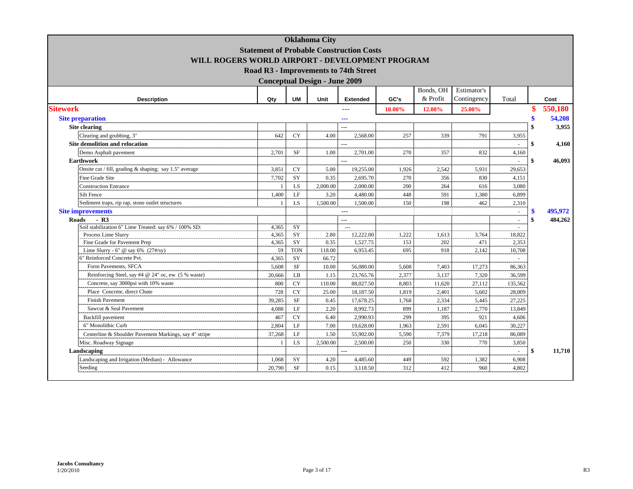| WILL ROGERS WORLD AIRPORT - DEVELOPMENT PROGRAM             |                 |                 | <b>Oklahoma City</b>                 | <b>Statement of Probable Construction Costs</b> |            |            |              |                          |                 |
|-------------------------------------------------------------|-----------------|-----------------|--------------------------------------|-------------------------------------------------|------------|------------|--------------|--------------------------|-----------------|
|                                                             |                 |                 |                                      | Road R3 - Improvements to 74th Street           |            |            |              |                          |                 |
|                                                             |                 |                 | <b>Conceptual Design - June 2009</b> |                                                 |            | Bonds, OH  | Estimator's  |                          |                 |
| <b>Description</b>                                          | Qty             | <b>UM</b>       | Unit                                 | <b>Extended</b>                                 | GC's       | & Profit   | Contingency  | Total                    | Cost            |
| <b>Sitework</b>                                             |                 |                 |                                      |                                                 |            | 12.00%     | 25.00%       |                          | \$<br>550,180   |
|                                                             |                 |                 |                                      |                                                 | 10.00%     |            |              |                          |                 |
| <b>Site preparation</b><br>Site clearing                    |                 |                 |                                      | ---<br>$\overline{a}$                           |            |            |              |                          | 54,208<br>3,955 |
|                                                             | 642             | <b>CY</b>       | 4.00                                 |                                                 |            |            | 791          |                          |                 |
| Clearing and grubbing, 3"<br>Site demolition and relocation |                 |                 |                                      | 2,568.00<br>$---$                               | 257        | 339        |              | 3,955<br>$\sim$          | \$<br>4,160     |
| Demo Asphalt pavement                                       | 2,701           | <b>SF</b>       | 1.00                                 | 2,701.00                                        | 270        | 357        | 832          | 4,160                    |                 |
| <b>Earthwork</b>                                            |                 |                 |                                      |                                                 |            |            |              |                          | \$<br>46,093    |
| Onsite cut / fill, grading & shaping; say 1.5" average      | 3,851           | <b>CY</b>       | 5.00                                 | 19,255.00                                       | 1,926      | 2,542      | 5,931        | 29.653                   |                 |
| Fine Grade Site                                             | 7,702           | SY              | 0.35                                 | 2,695.70                                        | 270        | 356        | 830          | 4,151                    |                 |
| <b>Construction Entrance</b>                                |                 | <b>LS</b>       | 2,000.00                             | 2,000.00                                        | 200        | 264        | 616          | 3,080                    |                 |
| <b>Silt Fence</b>                                           | 1,400           | LF              | 3.20                                 | 4,480.00                                        | 448        | 591        | 1.380        | 6,899                    |                 |
| Sediment traps, rip rap, stone outlet structures            |                 | LS              | 1,500.00                             | 1,500.00                                        | 150        | 198        | 462          | 2,310                    |                 |
| <b>Site improvements</b>                                    |                 |                 |                                      | $---$                                           |            |            |              | $\sim$                   | \$<br>495,972   |
| Roads<br>$-R3$                                              |                 |                 |                                      | $---$                                           |            |            |              | $\overline{\phantom{a}}$ | \$<br>484,262   |
| Soil stabilization 6" Lime Treated: say 6% / 100% SD:       | 4,365           | SY              |                                      | $\overline{a}$                                  |            |            |              |                          |                 |
| Process Lime Slurry                                         | 4,365           | SY              | 2.80                                 | 12,222.00                                       | 1,222      | 1,613      | 3,764        | 18,822                   |                 |
| Fine Grade for Pavement Prep                                | 4,365           | SY              | 0.35                                 | 1,527.75                                        | 153        | 202        | 471          | 2,353                    |                 |
| Lime Slurry - 6" @ say 6% $(27\frac{H}{Sy})$                | 59              | <b>TON</b>      | 118.00                               | 6,953.45                                        | 695        | 918        | 2,142        | 10,708                   |                 |
| 6" Reinforced Concrete Pvt.                                 | 4,365           | SY              | 66.72                                |                                                 |            |            |              |                          |                 |
| Form Pavements, SFCA                                        | 5,608           | <b>SF</b>       | 10.00                                | 56,080.00                                       | 5,608      | 7,403      | 17,273       | 86,363                   |                 |
| Reinforcing Steel, say #4 @ 24" oc, ew (5 % waste)          | 20,666          | LB              | 1.15                                 | 23,765.76                                       | 2,377      | 3,137      | 7,320        | 36,599                   |                 |
| Concrete, say 3000psi with 10% waste                        | 800             | <b>CY</b>       | 110.00                               | 88,027.50                                       | 8,803      | 11,620     | 27,112       | 135,562                  |                 |
| Place Concrete, direct Chute                                | 728             | <b>CY</b>       | 25.00                                | 18,187.50                                       | 1,819      | 2,401      | 5,602        | 28,009                   |                 |
| <b>Finish Pavement</b>                                      | 39,285          | <b>SF</b>       | 0.45                                 | 17,678.25                                       | 1,768      | 2,334      | 5,445        | 27,225                   |                 |
| Sawcut & Seal Pavement                                      | 4,088           | LF              | 2.20                                 | 8,992.73                                        | 899        | 1,187      | 2,770        | 13,849                   |                 |
| Backfill pavement                                           | 467             | <b>CY</b>       | 6.40                                 | 2,990.93                                        | 299        | 395        | 921          | 4,606                    |                 |
| 6" Monolithic Curb                                          | 2,804           | LF              | 7.00                                 | 19,628.00                                       | 1,963      | 2,591      | 6,045        | 30,227                   |                 |
| Centerline & Shoulder Pavement Markings, say 4" stripe      | 37,268          | LF              | 1.50                                 | 55,902.00                                       | 5,590      | 7,379      | 17,218       | 86,089                   |                 |
| Misc. Roadway Signage                                       |                 | <b>LS</b>       | 2,500.00                             | 2,500.00                                        | 250        | 330        | 770          | 3,850                    |                 |
| Landscaping                                                 |                 |                 |                                      |                                                 |            |            |              |                          | \$<br>11,710    |
| Landscaping and Irrigation (Median) - Allowance             | 1,068<br>20,790 | SY<br><b>SF</b> | 4.20<br>0.15                         | 4,485.60<br>3,118.50                            | 449<br>312 | 592<br>412 | 1,382<br>960 | 6,908                    |                 |
| Seeding                                                     |                 |                 |                                      |                                                 |            |            |              | 4,802                    |                 |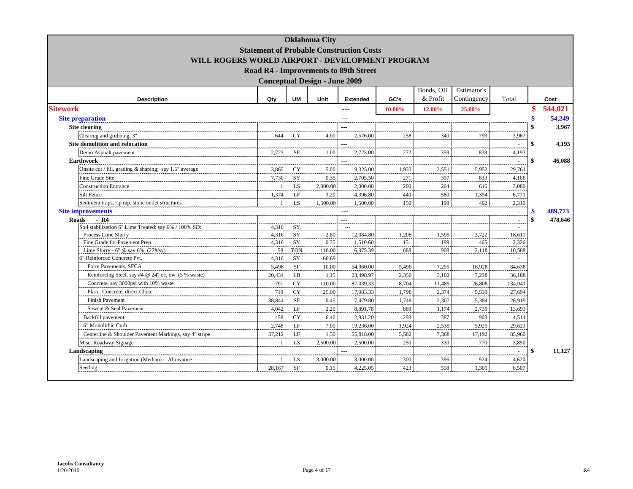|                                                             |                                                 |            | <b>Oklahoma City</b>                 |                 |        |           |             |                          |               |
|-------------------------------------------------------------|-------------------------------------------------|------------|--------------------------------------|-----------------|--------|-----------|-------------|--------------------------|---------------|
|                                                             | <b>Statement of Probable Construction Costs</b> |            |                                      |                 |        |           |             |                          |               |
| WILL ROGERS WORLD AIRPORT - DEVELOPMENT PROGRAM             |                                                 |            |                                      |                 |        |           |             |                          |               |
|                                                             | Road R4 - Improvements to 89th Street           |            |                                      |                 |        |           |             |                          |               |
|                                                             |                                                 |            | <b>Conceptual Design - June 2009</b> |                 |        |           |             |                          |               |
|                                                             |                                                 |            |                                      |                 |        | Bonds, OH | Estimator's |                          |               |
| <b>Description</b>                                          | Qty                                             | <b>UM</b>  | Unit                                 | <b>Extended</b> | GC's   | & Profit  | Contingency | Total                    | Cost          |
| <b>Sitework</b>                                             |                                                 |            |                                      |                 | 10.00% | 12.00%    | 25.00%      |                          | 544,021       |
|                                                             |                                                 |            |                                      | ---             |        |           |             |                          |               |
| <b>Site preparation</b><br>Site clearing                    |                                                 |            |                                      | ---             |        |           |             |                          | 54,249        |
|                                                             |                                                 |            |                                      | $---$           |        |           |             |                          | 3,967         |
| Clearing and grubbing, 3"<br>Site demolition and relocation | 644                                             | <b>CY</b>  | 4.00                                 | 2,576.00        | 258    | 340       | 793         | 3,967                    | 4,193         |
|                                                             | 2,723                                           | <b>SF</b>  | 1.00                                 | ---             | 272    |           | 839         | $\sim$                   | \$            |
| Demo Asphalt pavement<br><b>Earthwork</b>                   |                                                 |            |                                      | 2,723.00        |        | 359       |             | 4,193                    | \$<br>46,088  |
| Onsite cut / fill, grading & shaping; say 1.5" average      | 3,865                                           | <b>CY</b>  | 5.00                                 | 19,325.00       | 1,933  | 2,551     | 5,952       | 29,761                   |               |
| Fine Grade Site                                             | 7,730                                           | SY         | 0.35                                 | 2,705.50        | 271    | 357       | 833         | 4,166                    |               |
| <b>Construction Entrance</b>                                | $\overline{1}$                                  | LS         | 2,000.00                             | 2,000.00        | 200    | 264       | 616         | 3,080                    |               |
| <b>Silt Fence</b>                                           | 1,374                                           | LF         | 3.20                                 | 4,396.80        | 440    | 580       | 1,354       | 6,771                    |               |
| Sediment traps, rip rap, stone outlet structures            |                                                 | <b>LS</b>  | 1,500.00                             | 1,500.00        | 150    | 198       | 462         | 2,310                    |               |
| <b>Site improvements</b>                                    |                                                 |            |                                      | $---$           |        |           |             | ÷.                       | \$<br>489,773 |
| $-R4$<br><b>Roads</b>                                       |                                                 |            |                                      | $\overline{a}$  |        |           |             | $\overline{\phantom{a}}$ | \$<br>478,646 |
| Soil stabilization 6" Lime Treated: say 6% / 100% SD:       | 4,316                                           | SY         |                                      | $\sim$ $\sim$   |        |           |             | $\sim$                   |               |
| Process Lime Slurry                                         | 4,316                                           | SY         | 2.80                                 | 12,084.80       | 1,208  | 1,595     | 3.722       | 18,611                   |               |
| Fine Grade for Pavement Prep                                | 4,316                                           | SY         | 0.35                                 | 1,510.60        | 151    | 199       | 465         | 2,326                    |               |
| Lime Slurry - 6" @ say 6% $(27\frac{H}{Sy})$                | 58                                              | <b>TON</b> | 118.00                               | 6,875.39        | 688    | 908       | 2,118       | 10,588                   |               |
| 6" Reinforced Concrete Pvt.                                 | 4,316                                           | SY         | 66.69                                |                 |        |           |             |                          |               |
| Form Pavements, SFCA                                        | 5,496                                           | <b>SF</b>  | 10.00                                | 54,960.00       | 5,496  | 7,255     | 16,928      | 84,638                   |               |
| Reinforcing Steel, say #4 @ 24" oc, ew (5 % waste)          | 20,434                                          | LB         | 1.15                                 | 23,498.97       | 2,350  | 3,102     | 7,238       | 36,188                   |               |
| Concrete, say 3000psi with 10% waste                        | 791                                             | <b>CY</b>  | 110.00                               | 87,039.33       | 8,704  | 11,489    | 26,808      | 134,041                  |               |
| Place Concrete, direct Chute                                | 719                                             | <b>CY</b>  | 25.00                                | 17,983.33       | 1,798  | 2,374     | 5,539       | 27,694                   |               |
| <b>Finish Pavement</b>                                      | 38,844                                          | <b>SF</b>  | 0.45                                 | 17,479.80       | 1,748  | 2,307     | 5,384       | 26,919                   |               |
| Sawcut & Seal Pavement                                      | 4,042                                           | LF         | 2.20                                 | 8,891.78        | 889    | 1,174     | 2,739       | 13,693                   |               |
| Backfill pavement                                           | 458                                             | <b>CY</b>  | 6.40                                 | 2,931.20        | 293    | 387       | 903         | 4,514                    |               |
| 6" Monolithic Curb                                          | 2,748                                           | LF         | 7.00                                 | 19,236.00       | 1,924  | 2,539     | 5,925       | 29,623                   |               |
| Centerline & Shoulder Pavement Markings, say 4" stripe      | 37,212                                          | LF         | 1.50                                 | 55,818.00       | 5,582  | 7,368     | 17,192      | 85,960                   |               |
| Misc. Roadway Signage                                       |                                                 | <b>LS</b>  | 2,500.00                             | 2,500.00        | 250    | 330       | 770         | 3,850                    |               |
| Landscaping                                                 |                                                 |            |                                      |                 |        |           |             |                          | \$<br>11,127  |
| Landscaping and Irrigation (Median) - Allowance             |                                                 | LS         | 3,000.00                             | 3,000.00        | 300    | 396       | 924         | 4,620                    |               |
| Seeding                                                     | 28,167                                          | $\rm{SF}$  | 0.15                                 | 4,225.05        | 423    | 558       | 1,301       | 6,507                    |               |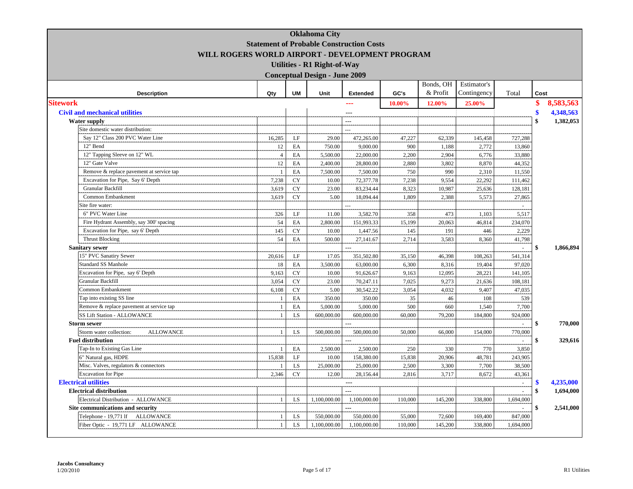|                                             |                                                 |           | <b>Oklahoma City</b>                 |                 |         |           |             |                |                       |
|---------------------------------------------|-------------------------------------------------|-----------|--------------------------------------|-----------------|---------|-----------|-------------|----------------|-----------------------|
|                                             | <b>Statement of Probable Construction Costs</b> |           |                                      |                 |         |           |             |                |                       |
|                                             | WILL ROGERS WORLD AIRPORT - DEVELOPMENT PROGRAM |           |                                      |                 |         |           |             |                |                       |
|                                             |                                                 |           | <b>Utilities - R1 Right-of-Way</b>   |                 |         |           |             |                |                       |
|                                             |                                                 |           |                                      |                 |         |           |             |                |                       |
|                                             |                                                 |           | <b>Conceptual Design - June 2009</b> |                 |         |           |             |                |                       |
|                                             |                                                 |           |                                      |                 |         | Bonds, OH | Estimator's |                |                       |
| <b>Description</b>                          | Qty                                             | <b>UM</b> | Unit                                 | <b>Extended</b> | GC's    | & Profit  | Contingency | Total          | Cost                  |
| <b>Sitework</b>                             |                                                 |           |                                      | ---             | 10.00%  | 12.00%    | 25.00%      |                | \$<br>8,583,563       |
| <b>Civil and mechanical utilities</b>       |                                                 |           |                                      |                 |         |           |             |                | \$<br>4,348,563       |
| <b>Water supply</b>                         |                                                 |           |                                      | ---             |         |           |             |                | 1,382,053<br>\$       |
| Site domestic water distribution:           |                                                 |           |                                      | ---             |         |           |             |                |                       |
| Say 12" Class 200 PVC Water Line            | 16,285                                          | LF        | 29.00                                | 472,265.00      | 47,227  | 62,339    | 145,458     | 727,288        |                       |
| 12" Bend                                    | 12                                              | EA        | 750.00                               | 9,000.00        | 900     | 1,188     | 2,772       | 13,860         |                       |
| 12" Tapping Sleeve on 12" WL                | $\overline{4}$                                  | EA        | 5,500.00                             | 22,000.00       | 2,200   | 2,904     | 6,776       | 33,880         |                       |
| 12" Gate Valve                              | 12                                              | EA        | 2,400.00                             | 28,800.00       | 2,880   | 3,802     | 8,870       | 44,352         |                       |
| Remove & replace pavement at service tap    |                                                 | EA        | 7,500.00                             | 7,500.00        | 750     | 990       | 2,310       | 11,550         |                       |
| Excavation for Pipe, Say 6' Depth           | 7,238                                           | CY        | 10.00                                | 72,377.78       | 7,238   | 9,554     | 22,292      | 111,462        |                       |
| Granular Backfill                           | 3,619                                           | CY        | 23.00                                | 83,234.44       | 8,323   | 10,987    | 25,636      | 128,181        |                       |
| Common Embankment                           | 3,619                                           | CY        | 5.00                                 | 18,094.44       | 1,809   | 2,388     | 5,573       | 27,865         |                       |
| Site fire water:                            |                                                 |           |                                      |                 |         |           |             | $\sim$         |                       |
| 6" PVC Water Line                           | 326                                             | $\rm LF$  | 11.00                                | 3,582.70        | 358     | 473       | 1,103       | 5,517          |                       |
| Fire Hydrant Assembly, say 300' spacing     | 54                                              | EA        | 2,800.00                             | 151,993.33      | 15,199  | 20,063    | 46,814      | 234,070        |                       |
| Excavation for Pipe, say 6' Depth           | 145                                             | <b>CY</b> | 10.00                                | 1,447.56        | 145     | 191       | 446         | 2,229          |                       |
| <b>Thrust Blocking</b>                      | 54                                              | EA        | 500.00                               | 27,141.67       | 2,714   | 3,583     | 8,360       | 41,798         |                       |
| <b>Sanitary sewer</b>                       |                                                 |           |                                      |                 |         |           |             | ä,             | \$<br>1,866,894       |
| 15" PVC Sanatiry Sewer                      | 20,616                                          | LF        | 17.05                                | 351,502.80      | 35,150  | 46,398    | 108,263     | 541,314        |                       |
| <b>Standard SS Manhole</b>                  | 18                                              | EA        | 3,500.00                             | 63,000.00       | 6,300   | 8,316     | 19,404      | 97,020         |                       |
| Excavation for Pipe, say 6' Depth           | 9,163                                           | CY        | 10.00                                | 91,626.67       | 9,163   | 12,095    | 28,221      | 141,105        |                       |
| Granular Backfill                           | 3,054                                           | <b>CY</b> | 23.00                                | 70,247.11       | 7,025   | 9,273     | 21,636      | 108,181        |                       |
| Common Embankment                           | 6,108                                           | CY        | 5.00                                 | 30,542.22       | 3,054   | 4,032     | 9,407       | 47,035         |                       |
| Tap into existing SS line                   |                                                 | EA        | 350.00                               | 350.00          | 35      | 46        | 108         | 539            |                       |
| Remove & replace pavement at service tap    | -1                                              | EA        | 5,000.00                             | 5,000.00        | 500     | 660       | 1,540       | 7,700          |                       |
| <b>SS Lift Station - ALLOWANCE</b>          | 1                                               | LS        | 600,000.00                           | 600,000.00      | 60,000  | 79,200    | 184,800     | 924,000        |                       |
| <b>Storm sewer</b>                          |                                                 |           |                                      | $\overline{a}$  |         |           |             | $\mathcal{L}$  | 770,000<br>\$         |
| Storm water collection:<br><b>ALLOWANCE</b> | $\mathbf{1}$                                    | LS        | 500,000.00                           | 500,000.00      | 50,000  | 66,000    | 154,000     | 770,000        |                       |
| <b>Fuel distribution</b>                    |                                                 |           |                                      |                 |         |           |             |                | 329,616               |
| Tap-In to Existing Gas Line                 |                                                 | EA        | 2,500.00                             | 2,500.00        | 250     | 330       | 770         | 3,850          |                       |
| 6" Natural gas, HDPE                        | 15,838                                          | LF        | 10.00                                | 158,380.00      | 15,838  | 20,906    | 48,781      | 243,905        |                       |
| Misc. Valves, regulators & connectors       |                                                 | LS        | 25,000.00                            | 25,000.00       | 2,500   | 3,300     | 7,700       | 38,500         |                       |
| <b>Excavation</b> for Pipe                  | 2,346                                           | <b>CY</b> | 12.00                                | 28,156.44       | 2,816   | 3,717     | 8,672       | 43,361         |                       |
| <b>Electrical utilities</b>                 |                                                 |           |                                      | $\overline{a}$  |         |           |             | $\bar{z}$      | 4,235,000<br><b>S</b> |
| <b>Electrical distribution</b>              |                                                 |           |                                      | ---             |         |           |             | $\overline{a}$ | \$<br>1,694,000       |
| Electrical Distribution - ALLOWANCE         |                                                 | LS        | 1,100,000.00                         | 1,100,000.00    | 110,000 | 145,200   | 338,800     | 1,694,000      |                       |
| Site communications and security            |                                                 |           |                                      | ---             |         |           |             | ÷              | 2,541,000<br>\$       |
| Telephone - 19,771 lf ALLOWANCE             |                                                 | LS        | 550,000.00                           | 550,000.00      | 55,000  | 72,600    | 169,400     | 847,000        |                       |
| Fiber Optic - 19,771 LF ALLOWANCE           | $\mathbf{1}$                                    | LS        | 1,100,000.00                         | 1,100,000.00    | 110,000 | 145,200   | 338,800     | 1,694,000      |                       |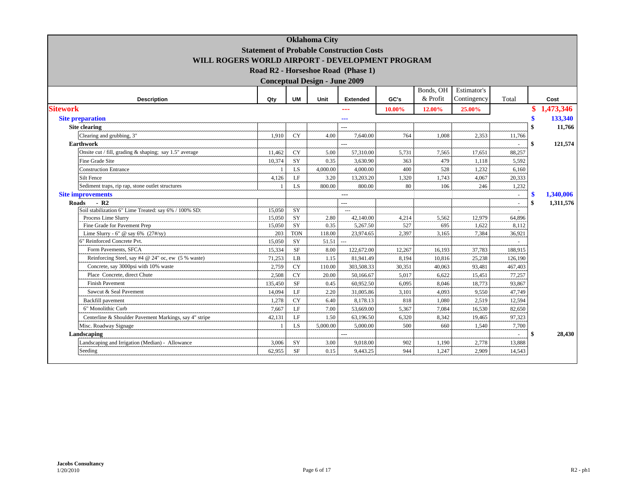|                                                        |         |            | <b>Oklahoma City</b>                 |                                                 |        |           |             |         |              |           |
|--------------------------------------------------------|---------|------------|--------------------------------------|-------------------------------------------------|--------|-----------|-------------|---------|--------------|-----------|
|                                                        |         |            |                                      | <b>Statement of Probable Construction Costs</b> |        |           |             |         |              |           |
| WILL ROGERS WORLD AIRPORT - DEVELOPMENT PROGRAM        |         |            |                                      |                                                 |        |           |             |         |              |           |
|                                                        |         |            |                                      | Road R2 - Horseshoe Road (Phase 1)              |        |           |             |         |              |           |
|                                                        |         |            | <b>Conceptual Design - June 2009</b> |                                                 |        |           |             |         |              |           |
|                                                        |         |            |                                      |                                                 |        | Bonds, OH | Estimator's |         |              |           |
| <b>Description</b>                                     | Qty     | <b>UM</b>  | Unit                                 | <b>Extended</b>                                 | GC's   | & Profit  | Contingency | Total   |              | Cost      |
| <b>Sitework</b>                                        |         |            |                                      | ---                                             | 10.00% | 12.00%    | 25.00%      |         |              | 1,473,346 |
| <b>Site preparation</b>                                |         |            |                                      | ---                                             |        |           |             |         | \$           | 133,340   |
| Site clearing                                          |         |            |                                      | $\overline{a}$                                  |        |           |             |         | \$           | 11,766    |
| Clearing and grubbing, 3"                              | 1,910   | <b>CY</b>  | 4.00                                 | 7,640.00                                        | 764    | 1,008     | 2,353       | 11,766  |              |           |
| <b>Earthwork</b>                                       |         |            |                                      | $\overline{a}$                                  |        |           |             |         | \$           | 121,574   |
| Onsite cut / fill, grading & shaping; say 1.5" average | 11,462  | <b>CY</b>  | 5.00                                 | 57,310.00                                       | 5,731  | 7,565     | 17,651      | 88,257  |              |           |
| <b>Fine Grade Site</b>                                 | 10,374  | SY         | 0.35                                 | 3,630.90                                        | 363    | 479       | 1,118       | 5.592   |              |           |
| <b>Construction Entrance</b>                           |         | LS         | 4,000.00                             | 4,000.00                                        | 400    | 528       | 1,232       | 6,160   |              |           |
| <b>Silt Fence</b>                                      | 4,126   | LF         | 3.20                                 | 13,203.20                                       | 1,320  | 1.743     | 4,067       | 20,333  |              |           |
| Sediment traps, rip rap, stone outlet structures       |         | LS         | 800.00                               | 800.00                                          | 80     | 106       | 246         | 1,232   |              |           |
| <b>Site improvements</b>                               |         |            |                                      | $---$                                           |        |           |             |         | \$           | 1.340.006 |
| $-R2$<br>Roads                                         |         |            |                                      | ---                                             |        |           |             |         | \$           | 1,311,576 |
| Soil stabilization 6" Lime Treated: say 6% / 100% SD:  | 15,050  | SY         |                                      | $\sim$ $\sim$ $\sim$                            |        |           |             | $\sim$  |              |           |
| Process Lime Slurry                                    | 15,050  | SY         | 2.80                                 | 42,140.00                                       | 4,214  | 5,562     | 12,979      | 64,896  |              |           |
| Fine Grade for Pavement Prep                           | 15,050  | SY         | 0.35                                 | 5,267.50                                        | 527    | 695       | 1,622       | 8,112   |              |           |
| Lime Slurry - 6" @ say 6% $(27\frac{H}{Sy})$           | 203     | <b>TON</b> | 118.00                               | 23,974.65                                       | 2,397  | 3,165     | 7,384       | 36,921  |              |           |
| 6" Reinforced Concrete Pvt.                            | 15,050  | SY         | 51.51                                | L.                                              |        |           |             | $\sim$  |              |           |
| Form Pavements, SFCA                                   | 15,334  | <b>SF</b>  | 8.00                                 | 122,672.00                                      | 12,267 | 16,193    | 37,783      | 188,915 |              |           |
| Reinforcing Steel, say #4 @ 24" oc, ew (5 % waste)     | 71,253  | LB         | 1.15                                 | 81,941.49                                       | 8,194  | 10,816    | 25,238      | 126,190 |              |           |
| Concrete, say 3000psi with 10% waste                   | 2,759   | <b>CY</b>  | 110.00                               | 303,508.33                                      | 30,351 | 40,063    | 93,481      | 467,403 |              |           |
| Place Concrete, direct Chute                           | 2,508   | <b>CY</b>  | 20.00                                | 50,166.67                                       | 5,017  | 6,622     | 15,451      | 77,257  |              |           |
| <b>Finish Pavement</b>                                 | 135,450 | <b>SF</b>  | 0.45                                 | 60,952.50                                       | 6,095  | 8,046     | 18,773      | 93,867  |              |           |
| Sawcut & Seal Pavement                                 | 14,094  | LF         | 2.20                                 | 31,005.86                                       | 3,101  | 4,093     | 9,550       | 47,749  |              |           |
| Backfill pavement                                      | 1,278   | <b>CY</b>  | 6.40                                 | 8,178.13                                        | 818    | 1,080     | 2,519       | 12,594  |              |           |
| 6" Monolithic Curb                                     | 7,667   | LF         | 7.00                                 | 53,669.00                                       | 5,367  | 7,084     | 16,530      | 82,650  |              |           |
| Centerline & Shoulder Pavement Markings, say 4" stripe | 42,131  | LF         | 1.50                                 | 63,196.50                                       | 6,320  | 8,342     | 19,465      | 97,323  |              |           |
| Misc. Roadway Signage                                  |         | <b>LS</b>  | 5,000.00                             | 5,000.00                                        | 500    | 660       | 1,540       | 7,700   |              |           |
| Landscaping                                            |         |            |                                      | $\overline{a}$                                  |        |           |             |         | $\mathbf{s}$ | 28,430    |
| Landscaping and Irrigation (Median) - Allowance        | 3,006   | SY         | 3.00                                 | 9.018.00                                        | 902    | 1.190     | 2.778       | 13,888  |              |           |
| Seeding                                                | 62,955  | <b>SF</b>  | 0.15                                 | 9,443.25                                        | 944    | 1,247     | 2,909       | 14,543  |              |           |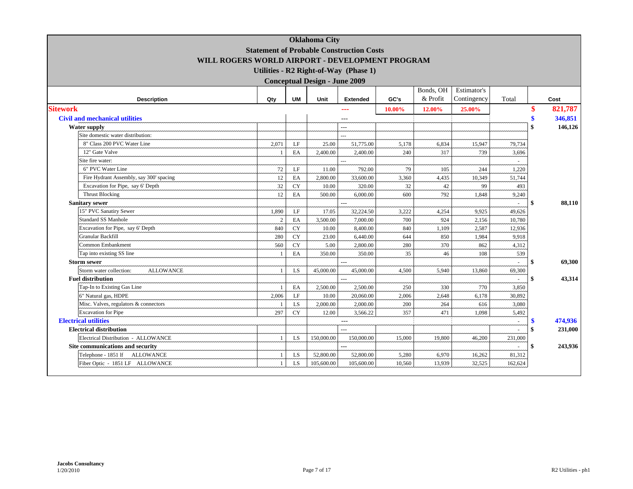|                                             |                                                 |            | <b>Oklahoma City</b>                 |                                       |        |           |             |         |     |         |
|---------------------------------------------|-------------------------------------------------|------------|--------------------------------------|---------------------------------------|--------|-----------|-------------|---------|-----|---------|
|                                             | <b>Statement of Probable Construction Costs</b> |            |                                      |                                       |        |           |             |         |     |         |
|                                             | WILL ROGERS WORLD AIRPORT - DEVELOPMENT PROGRAM |            |                                      |                                       |        |           |             |         |     |         |
|                                             |                                                 |            |                                      | Utilities - R2 Right-of-Way (Phase 1) |        |           |             |         |     |         |
|                                             |                                                 |            | <b>Conceptual Design - June 2009</b> |                                       |        |           |             |         |     |         |
|                                             |                                                 |            |                                      |                                       |        | Bonds, OH | Estimator's |         |     |         |
| <b>Description</b>                          | Qty                                             | <b>UM</b>  | Unit                                 | <b>Extended</b>                       | GC's   | & Profit  | Contingency | Total   |     | Cost    |
| <b>Sitework</b>                             |                                                 |            |                                      | ---                                   | 10.00% | 12.00%    | 25.00%      |         |     | 821,787 |
| <b>Civil and mechanical utilities</b>       |                                                 |            |                                      |                                       |        |           |             |         |     | 346,851 |
| <b>Water supply</b>                         |                                                 |            |                                      | $-$                                   |        |           |             |         | \$  | 146,126 |
| Site domestic water distribution:           |                                                 |            |                                      |                                       |        |           |             |         |     |         |
| 8" Class 200 PVC Water Line                 | 2.071                                           | LF         | 25.00                                | 51,775.00                             | 5,178  | 6,834     | 15,947      | 79,734  |     |         |
| 12" Gate Valve                              |                                                 | EA         | 2,400.00                             | 2,400.00                              | 240    | 317       | 739         | 3,696   |     |         |
| Site fire water:                            |                                                 |            |                                      |                                       |        |           |             |         |     |         |
| 6" PVC Water Line                           | 72                                              | LF         | 11.00                                | 792.00                                | 79     | 105       | 244         | 1,220   |     |         |
| Fire Hydrant Assembly, say 300' spacing     | 12                                              | EA         | 2,800.00                             | 33,600.00                             | 3,360  | 4,435     | 10,349      | 51.744  |     |         |
| Excavation for Pipe, say 6' Depth           | 32                                              | CY         | 10.00                                | 320.00                                | 32     | 42        | 99          | 493     |     |         |
| <b>Thrust Blocking</b>                      | 12                                              | EA         | 500.00                               | 6,000.00                              | 600    | 792       | 1.848       | 9,240   |     |         |
| <b>Sanitary sewer</b>                       |                                                 |            |                                      |                                       |        |           |             |         | \$  | 88,110  |
| 15" PVC Sanatiry Sewer                      | 1,890                                           | LF         | 17.05                                | 32,224.50                             | 3,222  | 4,254     | 9,925       | 49,626  |     |         |
| <b>Standard SS Manhole</b>                  | $\overline{c}$                                  | EA         | 3,500.00                             | 7,000.00                              | 700    | 924       | 2,156       | 10,780  |     |         |
| Excavation for Pipe, say 6' Depth           | 840                                             | ${\rm CY}$ | 10.00                                | 8,400.00                              | 840    | 1,109     | 2,587       | 12,936  |     |         |
| Granular Backfill                           | 280                                             | CY         | 23.00                                | 6,440.00                              | 644    | 850       | 1,984       | 9,918   |     |         |
| <b>Common Embankment</b>                    | 560                                             | CY         | 5.00                                 | 2,800.00                              | 280    | 370       | 862         | 4,312   |     |         |
| Tap into existing SS line                   |                                                 | EA         | 350.00                               | 350.00                                | 35     | 46        | 108         | 539     |     |         |
| <b>Storm sewer</b>                          |                                                 |            |                                      |                                       |        |           |             |         | \$  | 69,300  |
| Storm water collection:<br><b>ALLOWANCE</b> |                                                 | <b>LS</b>  | 45,000.00                            | 45,000.00                             | 4,500  | 5,940     | 13,860      | 69,300  |     |         |
| <b>Fuel distribution</b>                    |                                                 |            |                                      | $\sim$                                |        |           |             |         | -\$ | 43,314  |
| Tap-In to Existing Gas Line                 |                                                 | EA         | 2,500.00                             | 2,500.00                              | 250    | 330       | 770         | 3,850   |     |         |
| 6" Natural gas, HDPE                        | 2,006                                           | LF         | 10.00                                | 20,060.00                             | 2,006  | 2,648     | 6,178       | 30,892  |     |         |
| Misc. Valves, regulators & connectors       |                                                 | LS.        | 2,000.00                             | 2,000.00                              | 200    | 264       | 616         | 3,080   |     |         |
| <b>Excavation</b> for Pipe                  | 297                                             | CY         | 12.00                                | 3,566.22                              | 357    | 471       | 1,098       | 5,492   |     |         |
| <b>Electrical utilities</b>                 |                                                 |            |                                      | $---$                                 |        |           |             |         |     | 474,936 |
| <b>Electrical distribution</b>              |                                                 |            |                                      |                                       |        |           |             |         | \$  | 231,000 |
| Electrical Distribution - ALLOWANCE         |                                                 | LS.        | 150,000.00                           | 150,000.00                            | 15,000 | 19,800    | 46,200      | 231,000 |     |         |
| Site communications and security            |                                                 |            |                                      | ---                                   |        |           |             |         | \$  | 243,936 |
| Telephone - 1851 lf ALLOWANCE               |                                                 | LS.        | 52,800.00                            | 52,800.00                             | 5,280  | 6,970     | 16,262      | 81,312  |     |         |
| Fiber Optic - 1851 LF ALLOWANCE             |                                                 | LS         | 105,600.00                           | 105,600.00                            | 10,560 | 13,939    | 32,525      | 162,624 |     |         |

L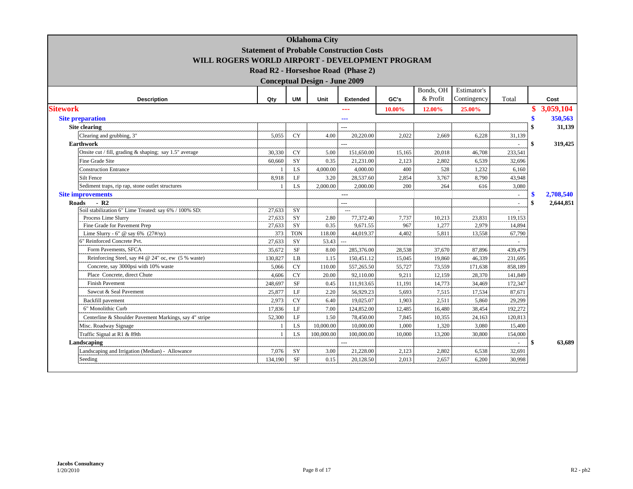| <b>Oklahoma City</b><br><b>Statement of Probable Construction Costs</b><br>WILL ROGERS WORLD AIRPORT - DEVELOPMENT PROGRAM<br>Road R2 - Horseshoe Road (Phase 2)<br><b>Conceptual Design - June 2009</b> |                |            |            |                       |        |                       |                            |         |    |           |  |
|----------------------------------------------------------------------------------------------------------------------------------------------------------------------------------------------------------|----------------|------------|------------|-----------------------|--------|-----------------------|----------------------------|---------|----|-----------|--|
|                                                                                                                                                                                                          |                |            |            |                       |        |                       |                            |         |    |           |  |
| <b>Description</b>                                                                                                                                                                                       | Qty            | <b>UM</b>  | Unit       | <b>Extended</b>       | GC's   | Bonds, OH<br>& Profit | Estimator's<br>Contingency | Total   |    | Cost      |  |
| <b>Sitework</b>                                                                                                                                                                                          |                |            |            | ---                   | 10.00% | 12.00%                | 25.00%                     |         |    | 3,059,104 |  |
| <b>Site preparation</b>                                                                                                                                                                                  |                |            |            |                       |        |                       |                            |         |    | 350,563   |  |
| <b>Site clearing</b>                                                                                                                                                                                     |                |            |            | ---<br>$\overline{a}$ |        |                       |                            |         | \$ | 31,139    |  |
|                                                                                                                                                                                                          |                |            |            |                       |        |                       |                            |         |    |           |  |
| Clearing and grubbing, 3"                                                                                                                                                                                | 5,055          | <b>CY</b>  | 4.00       | 20,220.00             | 2.022  | 2.669                 | 6,228                      | 31,139  |    |           |  |
| <b>Earthwork</b>                                                                                                                                                                                         |                |            |            |                       |        |                       |                            |         | \$ | 319,425   |  |
| Onsite cut / fill, grading & shaping; say 1.5" average                                                                                                                                                   | 30,330         | <b>CY</b>  | 5.00       | 151,650.00            | 15,165 | 20,018                | 46,708                     | 233,541 |    |           |  |
| <b>Fine Grade Site</b>                                                                                                                                                                                   | 60,660         | SY         | 0.35       | 21,231.00             | 2,123  | 2,802                 | 6,539                      | 32,696  |    |           |  |
| <b>Construction Entrance</b>                                                                                                                                                                             | $\overline{1}$ | <b>LS</b>  | 4,000.00   | 4,000.00              | 400    | 528                   | 1,232                      | 6,160   |    |           |  |
| Silt Fence                                                                                                                                                                                               | 8,918          | LF         | 3.20       | 28,537.60             | 2,854  | 3,767                 | 8,790                      | 43,948  |    |           |  |
| Sediment traps, rip rap, stone outlet structures                                                                                                                                                         |                | LS         | 2,000.00   | 2,000.00              | 200    | 264                   | 616                        | 3,080   |    |           |  |
| <b>Site improvements</b>                                                                                                                                                                                 |                |            |            | $ -$                  |        |                       |                            | ÷.      | \$ | 2.708.540 |  |
| Roads<br>$-R2$<br>Soil stabilization 6" Lime Treated: say 6% / 100% SD:                                                                                                                                  | 27,633         | SY         |            | $---$<br>$-$          |        |                       |                            |         | \$ | 2.644.851 |  |
| Process Lime Slurry                                                                                                                                                                                      | 27,633         | SY         | 2.80       | 77,372.40             | 7,737  | 10,213                | 23,831                     | 119,153 |    |           |  |
| Fine Grade for Pavement Prep                                                                                                                                                                             | 27,633         | SY         | 0.35       | 9,671.55              | 967    | 1,277                 | 2,979                      | 14,894  |    |           |  |
| Lime Slurry - 6" @ say 6% $(27\frac{H}{Sy})$                                                                                                                                                             | 373            | <b>TON</b> | 118.00     | 44,019.37             | 4,402  | 5,811                 | 13,558                     | 67,790  |    |           |  |
| 6" Reinforced Concrete Pvt.                                                                                                                                                                              | 27,633         | SY         | 53.43      | $\sim$                |        |                       |                            | $\sim$  |    |           |  |
| Form Pavements, SFCA                                                                                                                                                                                     | 35,672         | <b>SF</b>  | 8.00       | 285,376.00            | 28,538 | 37,670                | 87,896                     | 439,479 |    |           |  |
| Reinforcing Steel, say #4 @ 24" oc, ew (5 % waste)                                                                                                                                                       | 130,827        | LB         | 1.15       | 150,451.12            | 15,045 | 19,860                | 46,339                     | 231,695 |    |           |  |
| Concrete, say 3000psi with 10% waste                                                                                                                                                                     | 5,066          | <b>CY</b>  | 110.00     | 557,265.50            | 55,727 | 73,559                | 171,638                    | 858.189 |    |           |  |
| Place Concrete, direct Chute                                                                                                                                                                             | 4,606          | <b>CY</b>  | 20.00      | 92,110.00             | 9,211  | 12,159                | 28,370                     | 141,849 |    |           |  |
| <b>Finish Pavement</b>                                                                                                                                                                                   | 248,697        | <b>SF</b>  | 0.45       | 111,913.65            | 11,191 | 14,773                | 34,469                     | 172,347 |    |           |  |
| Sawcut & Seal Pavement                                                                                                                                                                                   | 25,877         | LF         | 2.20       | 56,929.23             | 5,693  | 7,515                 | 17,534                     | 87,671  |    |           |  |
| Backfill pavement                                                                                                                                                                                        | 2,973          | <b>CY</b>  | 6.40       | 19,025.07             | 1,903  | 2,511                 | 5,860                      | 29,299  |    |           |  |
| 6" Monolithic Curb                                                                                                                                                                                       | 17,836         | LE         | 7.00       | 124,852.00            | 12,485 | 16,480                | 38,454                     | 192,272 |    |           |  |
| Centerline & Shoulder Pavement Markings, say 4" stripe                                                                                                                                                   | 52,300         | LF         | 1.50       | 78,450.00             | 7,845  | 10,355                | 24,163                     | 120,813 |    |           |  |
| Misc. Roadway Signage                                                                                                                                                                                    | $\overline{1}$ | <b>LS</b>  | 10,000.00  | 10,000.00             | 1,000  | 1,320                 | 3,080                      | 15,400  |    |           |  |
| Traffic Signal at R1 & 89th                                                                                                                                                                              | $\overline{1}$ | LS         | 100,000.00 | 100,000.00            | 10,000 | 13,200                | 30,800                     | 154,000 |    |           |  |
| Landscaping                                                                                                                                                                                              |                |            |            |                       |        |                       |                            |         | \$ | 63,689    |  |
| Landscaping and Irrigation (Median) - Allowance                                                                                                                                                          | 7,076          | SY         | 3.00       | 21,228.00             | 2,123  | 2,802                 | 6,538                      | 32,691  |    |           |  |
| Seeding                                                                                                                                                                                                  | 134,190        | <b>SF</b>  | 0.15       | 20,128.50             | 2.013  | 2.657                 | 6,200                      | 30,998  |    |           |  |
|                                                                                                                                                                                                          |                |            |            |                       |        |                       |                            |         |    |           |  |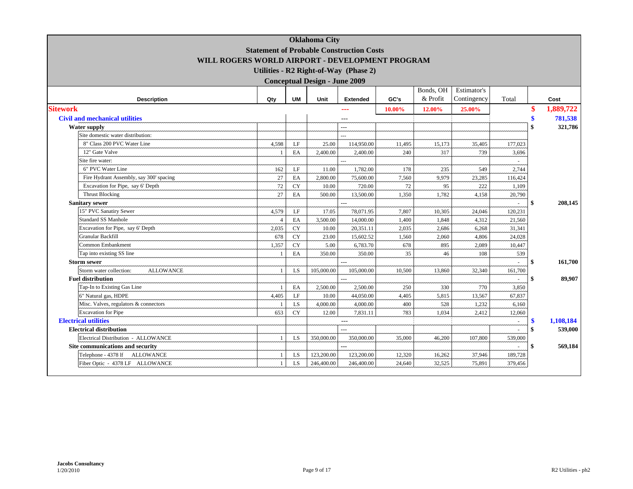|                                             | <b>Statement of Probable Construction Costs</b> |           | <b>Oklahoma City</b>                 |                                       |        |           |             |         |              |           |
|---------------------------------------------|-------------------------------------------------|-----------|--------------------------------------|---------------------------------------|--------|-----------|-------------|---------|--------------|-----------|
|                                             | WILL ROGERS WORLD AIRPORT - DEVELOPMENT PROGRAM |           |                                      |                                       |        |           |             |         |              |           |
|                                             |                                                 |           |                                      | Utilities - R2 Right-of-Way (Phase 2) |        |           |             |         |              |           |
|                                             |                                                 |           | <b>Conceptual Design - June 2009</b> |                                       |        |           |             |         |              |           |
|                                             |                                                 |           |                                      |                                       |        | Bonds, OH | Estimator's |         |              |           |
| <b>Description</b>                          | Qty                                             | <b>UM</b> | Unit                                 | <b>Extended</b>                       | GC's   | & Profit  | Contingency | Total   |              | Cost      |
| <b>Sitework</b>                             |                                                 |           |                                      |                                       |        |           |             |         |              |           |
|                                             |                                                 |           |                                      |                                       | 10.00% | 12.00%    | 25.00%      |         |              | 1,889,722 |
| <b>Civil and mechanical utilities</b>       |                                                 |           |                                      | ---                                   |        |           |             |         | \$           | 781,538   |
| <b>Water supply</b>                         |                                                 |           |                                      | ---                                   |        |           |             |         | $\mathbf{S}$ | 321,786   |
| Site domestic water distribution:           |                                                 |           |                                      |                                       |        |           |             |         |              |           |
| 8" Class 200 PVC Water Line                 | 4,598                                           | LF        | 25.00                                | 114,950.00                            | 11,495 | 15,173    | 35,405      | 177,023 |              |           |
| 12" Gate Valve                              |                                                 | EA        | 2,400.00                             | 2,400.00                              | 240    | 317       | 739         | 3,696   |              |           |
| Site fire water:                            |                                                 |           |                                      | $\overline{a}$                        |        |           |             |         |              |           |
| 6" PVC Water Line                           | 162                                             | LF        | 11.00                                | 1,782.00                              | 178    | 235       | 549         | 2.744   |              |           |
| Fire Hydrant Assembly, say 300' spacing     | 27                                              | EA        | 2,800.00                             | 75,600.00                             | 7,560  | 9,979     | 23,285      | 116,424 |              |           |
| Excavation for Pipe, say 6' Depth           | 72                                              | <b>CY</b> | 10.00                                | 720.00                                | 72     | 95        | 222         | 1,109   |              |           |
| <b>Thrust Blocking</b>                      | 27                                              | EA        | 500.00                               | 13,500.00                             | 1,350  | 1,782     | 4,158       | 20,790  |              |           |
| <b>Sanitary sewer</b>                       |                                                 |           |                                      | ---                                   |        |           |             |         | \$           | 208,145   |
| 15" PVC Sanatiry Sewer                      | 4,579                                           | LF        | 17.05                                | 78,071.95                             | 7,807  | 10,305    | 24,046      | 120,231 |              |           |
| Standard SS Manhole                         |                                                 | EA        | 3,500.00                             | 14,000.00                             | 1,400  | 1,848     | 4,312       | 21,560  |              |           |
| Excavation for Pipe, say 6' Depth           | 2,035                                           | <b>CY</b> | 10.00                                | 20,351.11                             | 2,035  | 2,686     | 6,268       | 31,341  |              |           |
| <b>Granular Backfill</b>                    | 678                                             | <b>CY</b> | 23.00                                | 15,602.52                             | 1,560  | 2,060     | 4,806       | 24,028  |              |           |
| Common Embankment                           | 1,357                                           | <b>CY</b> | 5.00                                 | 6,783.70                              | 678    | 895       | 2,089       | 10,447  |              |           |
| Tap into existing SS line                   |                                                 | EA        | 350.00                               | 350.00                                | 35     | 46        | 108         | 539     |              |           |
| <b>Storm sewer</b>                          |                                                 |           |                                      | $\overline{a}$                        |        |           |             | ÷.      | -\$          | 161,700   |
| Storm water collection:<br><b>ALLOWANCE</b> |                                                 | LS        | 105,000.00                           | 105,000.00                            | 10,500 | 13,860    | 32,340      | 161,700 |              |           |
| <b>Fuel distribution</b>                    |                                                 |           |                                      |                                       |        |           |             |         | \$           | 89,907    |
| Tap-In to Existing Gas Line                 |                                                 | EA        | 2,500.00                             | 2,500.00                              | 250    | 330       | 770         | 3,850   |              |           |
| 6" Natural gas, HDPE                        | 4,405                                           | LF        | 10.00                                | 44,050.00                             | 4,405  | 5,815     | 13,567      | 67,837  |              |           |
| Misc. Valves, regulators & connectors       |                                                 | LS        | 4,000.00                             | 4,000.00                              | 400    | 528       | 1,232       | 6,160   |              |           |
| <b>Excavation</b> for Pipe                  | 653                                             | <b>CY</b> | 12.00                                | 7,831.11                              | 783    | 1,034     | 2,412       | 12,060  |              |           |
| <b>Electrical utilities</b>                 |                                                 |           |                                      | $---$                                 |        |           |             | $\sim$  | \$           | 1.108.184 |
| <b>Electrical distribution</b>              |                                                 |           |                                      | $\overline{a}$                        |        |           |             |         | \$           | 539,000   |
| Electrical Distribution - ALLOWANCE         | -1                                              | <b>LS</b> | 350,000.00                           | 350,000.00                            | 35,000 | 46,200    | 107,800     | 539,000 |              |           |
| Site communications and security            |                                                 |           |                                      | ---                                   |        |           |             |         | \$           | 569,184   |
| Telephone - 4378 lf ALLOWANCE               |                                                 | LS        | 123,200.00                           | 123,200.00                            | 12,320 | 16,262    | 37,946      | 189,728 |              |           |
| Fiber Optic - 4378 LF ALLOWANCE             | $\overline{1}$                                  | LS        | 246,400.00                           | 246,400.00                            | 24,640 | 32,525    | 75,891      | 379,456 |              |           |
|                                             |                                                 |           |                                      |                                       |        |           |             |         |              |           |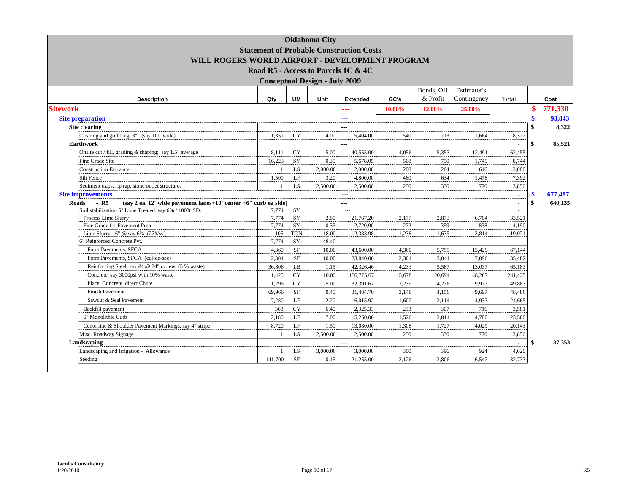|                                                                               |                                                 |                 | <b>Oklahoma City</b>                 |                 |        |           |             |                |               |
|-------------------------------------------------------------------------------|-------------------------------------------------|-----------------|--------------------------------------|-----------------|--------|-----------|-------------|----------------|---------------|
|                                                                               | <b>Statement of Probable Construction Costs</b> |                 |                                      |                 |        |           |             |                |               |
| WILL ROGERS WORLD AIRPORT - DEVELOPMENT PROGRAM                               |                                                 |                 |                                      |                 |        |           |             |                |               |
|                                                                               | Road R5 - Access to Parcels 1C & 4C             |                 |                                      |                 |        |           |             |                |               |
|                                                                               |                                                 |                 | <b>Conceptual Design - July 2009</b> |                 |        |           |             |                |               |
|                                                                               |                                                 |                 |                                      |                 |        | Bonds, OH | Estimator's |                |               |
| <b>Description</b>                                                            | Qty                                             | <b>UM</b>       | Unit                                 | <b>Extended</b> | GC's   | & Profit  | Contingency | Total          | Cost          |
| <b>Sitework</b>                                                               |                                                 |                 |                                      | ---             | 10.00% | 12.00%    | 25.00%      |                | 771,330       |
| <b>Site preparation</b>                                                       |                                                 |                 |                                      | ---             |        |           |             |                | 93,843        |
| Site clearing                                                                 |                                                 |                 |                                      | $---$           |        |           |             |                | 8,322         |
| Clearing and grubbing, 3" (say 100' wide)                                     | 1.351                                           | <b>CY</b>       | 4.00                                 | 5,404.00        | 540    | 713       | 1.664       | 8,322          |               |
| <b>Earthwork</b>                                                              |                                                 |                 |                                      | $\overline{a}$  |        |           |             |                | \$<br>85,521  |
| Onsite cut / fill, grading $\&$ shaping; say 1.5" average                     | 8,111                                           | <b>CY</b>       | 5.00                                 | 40,555.00       | 4,056  | 5,353     | 12,491      | 62,455         |               |
| Fine Grade Site                                                               | 16,223                                          | SY              | 0.35                                 | 5,678.05        | 568    | 750       | 1,749       | 8,744          |               |
| <b>Construction Entrance</b>                                                  | $\overline{1}$                                  | LS              | 2,000.00                             | 2,000.00        | 200    | 264       | 616         | 3,080          |               |
| Silt Fence                                                                    | 1,500                                           | LF              | 3.20                                 | 4,800.00        | 480    | 634       | 1,478       | 7,392          |               |
| Sediment traps, rip rap, stone outlet structures                              | $\overline{1}$                                  | <b>LS</b>       | 2.500.00                             | 2,500.00        | 250    | 330       | 770         | 3,850          |               |
| <b>Site improvements</b>                                                      |                                                 |                 |                                      | $---$           |        |           |             | $\overline{a}$ | \$<br>677,487 |
| (say 2 ea. 12' wide pavement lanes+10' center +6" curb ea side)<br>Roads - R5 |                                                 |                 |                                      | ---             |        |           |             | ÷.             | \$<br>640,135 |
| Soil stabilization 6" Lime Treated: say 6% / 100% SD:                         | 7,774                                           | $\overline{SY}$ |                                      |                 |        |           |             |                |               |
| Process Lime Slurry                                                           | 7,774                                           | SY              | 2.80                                 | 21,767.20       | 2,177  | 2,873     | 6,704       | 33,521         |               |
| Fine Grade for Pavement Prep                                                  | 7,774                                           | SY              | 0.35                                 | 2,720.90        | 272    | 359       | 838         | 4,190          |               |
| Lime Slurry - 6" @ say 6% $(27\frac{H}{Sy})$                                  | 105                                             | <b>TON</b>      | 118.00                               | 12,383.98       | 1,238  | 1,635     | 3,814       | 19,071         |               |
| 6" Reinforced Concrete Pvt.                                                   | 7,774                                           | SY              | 48.40                                |                 |        |           |             | $\sim$         |               |
| Form Pavements, SFCA                                                          | 4,360                                           | <b>SF</b>       | 10.00                                | 43,600.00       | 4,360  | 5,755     | 13,429      | 67,144         |               |
| Form Pavements, SFCA (cul-de-sac)                                             | 2,304                                           | <b>SF</b>       | 10.00                                | 23,040.00       | 2,304  | 3,041     | 7.096       | 35,482         |               |
| Reinforcing Steel, say #4 @ 24" oc, ew (5 % waste)                            | 36,806                                          | LB              | 1.15                                 | 42,326.46       | 4,233  | 5,587     | 13,037      | 65,183         |               |
| Concrete, say 3000psi with 10% waste                                          | 1,425                                           | <b>CY</b>       | 110.00                               | 156,775.67      | 15,678 | 20,694    | 48,287      | 241,435        |               |
| Place Concrete, direct Chute                                                  | 1,296                                           | <b>CY</b>       | 25.00                                | 32,391.67       | 3,239  | 4,276     | 9.977       | 49,883         |               |
| <b>Finish Pavement</b>                                                        | 69,966                                          | <b>SF</b>       | 0.45                                 | 31,484.70       | 3,148  | 4,156     | 9.697       | 48,486         |               |
| Sawcut & Seal Pavement                                                        | 7,280                                           | LF              | 2.20                                 | 16,015.92       | 1,602  | 2,114     | 4,933       | 24,665         |               |
| Backfill pavement                                                             | 363                                             | <b>CY</b>       | 6.40                                 | 2,325.33        | 233    | 307       | 716         | 3,581          |               |
| 6" Monolithic Curb                                                            | 2,180                                           | LF              | 7.00                                 | 15,260.00       | 1,526  | 2,014     | 4,700       | 23,500         |               |
| Centerline & Shoulder Pavement Markings, say 4" stripe                        | 8,720                                           | LF              | 1.50                                 | 13,080.00       | 1,308  | 1,727     | 4,029       | 20,143         |               |
| Misc. Roadway Signage                                                         | $\overline{1}$                                  | LS.             | 2,500.00                             | 2,500.00        | 250    | 330       | 770         | 3,850          |               |
| Landscaping                                                                   |                                                 |                 |                                      | $---$           |        |           |             | ÷.             | \$<br>37,353  |
| Landscaping and Irrigation - Allowance                                        | $\mathbf{1}$                                    | LS              | 3,000.00                             | 3,000.00        | 300    | 396       | 924         | 4,620          |               |
| Seeding                                                                       | 141,700                                         | <b>SF</b>       | 0.15                                 | 21,255.00       | 2,126  | 2,806     | 6,547       | 32,733         |               |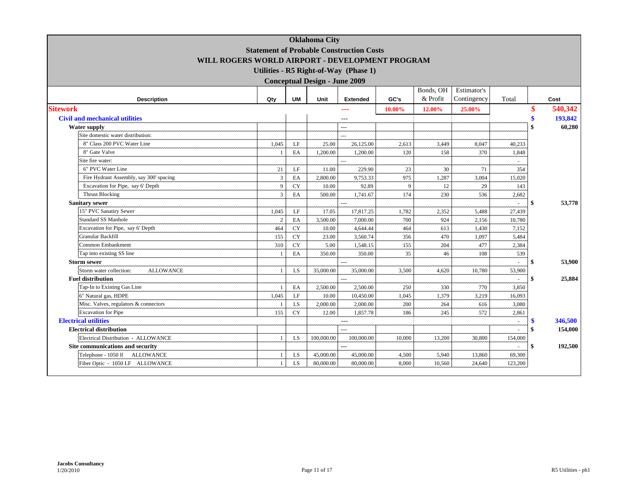|                                             | <b>Statement of Probable Construction Costs</b> |            | <b>Oklahoma City</b>                 |                                       |        |           |             |         |                    |         |
|---------------------------------------------|-------------------------------------------------|------------|--------------------------------------|---------------------------------------|--------|-----------|-------------|---------|--------------------|---------|
|                                             | WILL ROGERS WORLD AIRPORT - DEVELOPMENT PROGRAM |            |                                      |                                       |        |           |             |         |                    |         |
|                                             |                                                 |            |                                      | Utilities - R5 Right-of-Way (Phase 1) |        |           |             |         |                    |         |
|                                             |                                                 |            | <b>Conceptual Design - June 2009</b> |                                       |        |           |             |         |                    |         |
|                                             |                                                 |            |                                      |                                       |        | Bonds, OH | Estimator's |         |                    |         |
| <b>Description</b>                          | Qty                                             | <b>UM</b>  | Unit                                 | <b>Extended</b>                       | GC's   | & Profit  | Contingency | Total   |                    | Cost    |
| <b>Sitework</b>                             |                                                 |            |                                      |                                       |        |           |             |         |                    | 540,342 |
|                                             |                                                 |            |                                      | ---                                   | 10.00% | 12.00%    | 25.00%      |         |                    |         |
| <b>Civil and mechanical utilities</b>       |                                                 |            |                                      | ---                                   |        |           |             |         | \$                 | 193,842 |
| <b>Water supply</b>                         |                                                 |            |                                      | ---                                   |        |           |             |         | $\mathbf{\hat{S}}$ | 60,280  |
| Site domestic water distribution:           |                                                 |            |                                      | ш.                                    |        |           |             |         |                    |         |
| 8" Class 200 PVC Water Line                 | 1,045                                           | LF         | 25.00                                | 26,125.00                             | 2,613  | 3,449     | 8,047       | 40.233  |                    |         |
| 8" Gate Valve                               |                                                 | EA         | 1,200.00                             | 1,200.00                              | 120    | 158       | 370         | 1,848   |                    |         |
| Site fire water:                            |                                                 |            |                                      | $\overline{a}$                        |        |           |             |         |                    |         |
| 6" PVC Water Line                           | 21                                              | LF         | 11.00                                | 229.90                                | 23     | 30        | 71          | 354     |                    |         |
| Fire Hydrant Assembly, say 300' spacing     | $\overline{3}$                                  | EA         | 2,800.00                             | 9,753.33                              | 975    | 1,287     | 3,004       | 15,020  |                    |         |
| Excavation for Pipe, say 6' Depth           | 9                                               | CY         | 10.00                                | 92.89                                 | 9      | 12        | 29          | 143     |                    |         |
| <b>Thrust Blocking</b>                      | $\overline{3}$                                  | EA         | 500.00                               | 1,741.67                              | 174    | 230       | 536         | 2,682   |                    |         |
| <b>Sanitary sewer</b>                       |                                                 |            |                                      | $\overline{a}$                        |        |           |             |         | -\$                | 53,778  |
| 15" PVC Sanatiry Sewer                      | 1,045                                           | $\rm LF$   | 17.05                                | 17,817.25                             | 1,782  | 2,352     | 5,488       | 27,439  |                    |         |
| <b>Standard SS Manhole</b>                  | $\overline{2}$                                  | EA         | 3,500.00                             | 7,000.00                              | 700    | 924       | 2,156       | 10,780  |                    |         |
| Excavation for Pipe, say 6' Depth           | 464                                             | ${\rm CY}$ | 10.00                                | 4,644.44                              | 464    | 613       | 1,430       | 7,152   |                    |         |
| Granular Backfill                           | 155                                             | CY         | 23.00                                | 3,560.74                              | 356    | 470       | 1,097       | 5,484   |                    |         |
| Common Embankment                           | 310                                             | ${\rm CY}$ | 5.00                                 | 1,548.15                              | 155    | 204       | 477         | 2,384   |                    |         |
| Tap into existing SS line                   |                                                 | EA         | 350.00                               | 350.00                                | 35     | 46        | 108         | 539     |                    |         |
| <b>Storm sewer</b>                          |                                                 |            |                                      | ---                                   |        |           |             |         |                    | 53,900  |
| Storm water collection:<br><b>ALLOWANCE</b> |                                                 | LS         | 35,000.00                            | 35,000.00                             | 3,500  | 4,620     | 10,780      | 53,900  |                    |         |
| <b>Fuel distribution</b>                    |                                                 |            |                                      |                                       |        |           |             |         | \$                 | 25,884  |
| Tap-In to Existing Gas Line                 |                                                 | EA         | 2,500.00                             | 2,500.00                              | 250    | 330       | 770         | 3,850   |                    |         |
| 6" Natural gas, HDPE                        | 1,045                                           | LF         | 10.00                                | 10,450.00                             | 1,045  | 1,379     | 3,219       | 16,093  |                    |         |
| Misc. Valves, regulators & connectors       |                                                 | LS.        | 2,000.00                             | 2,000.00                              | 200    | 264       | 616         | 3,080   |                    |         |
| <b>Excavation</b> for Pipe                  | 155                                             | <b>CY</b>  | 12.00                                | 1,857.78                              | 186    | 245       | 572         | 2,861   |                    |         |
| <b>Electrical utilities</b>                 |                                                 |            |                                      | $---$                                 |        |           |             |         |                    | 346,500 |
| <b>Electrical distribution</b>              |                                                 |            |                                      |                                       |        |           |             |         | \$                 | 154,000 |
| Electrical Distribution - ALLOWANCE         |                                                 | LS         | 100,000.00                           | 100,000.00                            | 10,000 | 13,200    | 30,800      | 154,000 |                    |         |
| Site communications and security            |                                                 |            |                                      | ---                                   |        |           |             |         | \$                 | 192,500 |
| Telephone - 1050 lf ALLOWANCE               |                                                 | LS         | 45,000.00                            | 45,000.00                             | 4,500  | 5,940     | 13,860      | 69,300  |                    |         |
| Fiber Optic - 1050 LF ALLOWANCE             |                                                 | LS         | 80,000.00                            | 80,000.00                             | 8,000  | 10,560    | 24,640      | 123,200 |                    |         |
|                                             |                                                 |            |                                      |                                       |        |           |             |         |                    |         |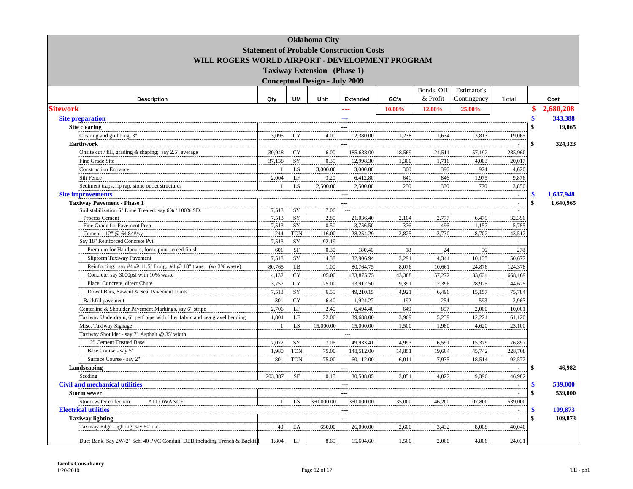|                                                                            |                |            | <b>Oklahoma City</b>                 |                                                 |        |           |             |         |                 |
|----------------------------------------------------------------------------|----------------|------------|--------------------------------------|-------------------------------------------------|--------|-----------|-------------|---------|-----------------|
|                                                                            |                |            |                                      | <b>Statement of Probable Construction Costs</b> |        |           |             |         |                 |
| WILL ROGERS WORLD AIRPORT - DEVELOPMENT PROGRAM                            |                |            |                                      |                                                 |        |           |             |         |                 |
|                                                                            |                |            | <b>Taxiway Extension</b> (Phase 1)   |                                                 |        |           |             |         |                 |
|                                                                            |                |            |                                      |                                                 |        |           |             |         |                 |
|                                                                            |                |            | <b>Conceptual Design - July 2009</b> |                                                 |        |           |             |         |                 |
|                                                                            |                |            |                                      |                                                 |        | Bonds, OH | Estimator's |         |                 |
| <b>Description</b>                                                         | Qty            | <b>UM</b>  | Unit                                 | <b>Extended</b>                                 | GC's   | & Profit  | Contingency | Total   | Cost            |
| <b>Sitework</b>                                                            |                |            |                                      | ---                                             | 10.00% | 12.00%    | 25.00%      |         | 2,680,208<br>\$ |
| <b>Site preparation</b>                                                    |                |            |                                      |                                                 |        |           |             |         | 343,388         |
| <b>Site clearing</b>                                                       |                |            |                                      | $\overline{a}$                                  |        |           |             |         | 19,065          |
| Clearing and grubbing, 3"                                                  | 3,095          | <b>CY</b>  | 4.00                                 | 12,380.00                                       | 1,238  | 1.634     | 3,813       | 19.065  |                 |
| <b>Earthwork</b>                                                           |                |            |                                      |                                                 |        |           |             |         | 324,323<br>\$   |
| Onsite cut / fill, grading & shaping; say 2.5" average                     | 30,948         | <b>CY</b>  | 6.00                                 | 185,688.00                                      | 18,569 | 24,511    | 57,192      | 285,960 |                 |
| <b>Fine Grade Site</b>                                                     | 37,138         | SY         | 0.35                                 | 12,998.30                                       | 1,300  | 1,716     | 4,003       | 20,017  |                 |
| <b>Construction Entrance</b>                                               |                | LS         | 3,000.00                             | 3,000.00                                        | 300    | 396       | 924         | 4,620   |                 |
| Silt Fence                                                                 | 2,004          | LF         | 3.20                                 | 6,412.80                                        | 641    | 846       | 1,975       | 9,876   |                 |
| Sediment traps, rip rap, stone outlet structures                           |                | LS         | 2,500.00                             | 2,500.00                                        | 250    | 330       | 770         | 3,850   |                 |
| <b>Site improvements</b>                                                   |                |            |                                      | $---$                                           |        |           |             | $\sim$  | 1.687,948<br>S  |
| <b>Taxiway Pavement - Phase 1</b>                                          |                |            |                                      | $\overline{a}$                                  |        |           |             | $\sim$  | \$<br>1,640,965 |
| Soil stabilization 6" Lime Treated: say 6% / 100% SD:                      | 7,513          | SY         | 7.06                                 | $\sim$ $\sim$                                   |        |           |             | $\sim$  |                 |
| Process Cement                                                             | 7,513          | SY         | 2.80                                 | 21,036.40                                       | 2,104  | 2,777     | 6,479       | 32,396  |                 |
| Fine Grade for Pavement Prep                                               | 7,513          | SY         | 0.50                                 | 3,756.50                                        | 376    | 496       | 1,157       | 5,785   |                 |
| Cement - 12" @ 64.84#/sy                                                   | 244            | <b>TON</b> | 116.00                               | 28,254.29                                       | 2,825  | 3,730     | 8,702       | 43,512  |                 |
| Say 18" Reinforced Concrete Pvt.                                           | 7,513          | SY         | 92.19                                | $\overline{a}$                                  |        |           |             | $\sim$  |                 |
| Premium for Handpours, form, pour screed finish                            | 601            | SF         | 0.30                                 | 180.40                                          | 18     | 24        | 56          | 278     |                 |
| Slipform Taxiway Pavement                                                  | 7,513          | SY         | 4.38                                 | 32,906.94                                       | 3,291  | 4.344     | 10,135      | 50,677  |                 |
| Reinforcing: say #4 @ 11.5" Long., #4 @ 18" trans. (w/3% waste)            | 80,765         | LB         | 1.00                                 | 80,764.75                                       | 8,076  | 10,661    | 24,876      | 124,378 |                 |
| Concrete, say 3000psi with 10% waste                                       | 4,132          | <b>CY</b>  | 105.00                               | 433,875.75                                      | 43,388 | 57,272    | 133,634     | 668,169 |                 |
| Place Concrete, direct Chute                                               | 3,757          | <b>CY</b>  | 25.00                                | 93,912.50                                       | 9,391  | 12,396    | 28,925      | 144,625 |                 |
| Dowel Bars, Sawcut & Seal Pavement Joints                                  | 7,513          | SY         | 6.55                                 | 49,210.15                                       | 4,921  | 6,496     | 15,157      | 75,784  |                 |
| Backfill pavement                                                          | 301            | <b>CY</b>  | 6.40                                 | 1,924.27                                        | 192    | 254       | 593         | 2,963   |                 |
| Centerline & Shoulder Pavement Markings, say 6" stripe                     | 2,706          | LF         | 2.40                                 | 6,494.40                                        | 649    | 857       | 2,000       | 10,001  |                 |
| Taxiway Underdrain, 6" perf pipe with filter fabric and pea gravel bedding | 1,804          | $\rm LF$   | 22.00                                | 39,688.00                                       | 3,969  | 5,239     | 12,224      | 61,120  |                 |
| Misc. Taxiway Signage                                                      | $\overline{1}$ | LS         | 15,000.00                            | 15,000.00                                       | 1,500  | 1.980     | 4,620       | 23,100  |                 |
| Taxiway Shoulder - say 7" Asphalt @ 35' width                              |                |            |                                      | $\sim$                                          |        |           |             |         |                 |
| 12" Cement Treated Base                                                    | 7,072          | SY         | 7.06                                 | 49,933.41                                       | 4,993  | 6,591     | 15,379      | 76,897  |                 |
| Base Course - say 5"                                                       | 1,980          | <b>TON</b> | 75.00                                | 148,512.00                                      | 14,851 | 19.604    | 45,742      | 228,708 |                 |
| Surface Course - say 2"                                                    | 801            | <b>TON</b> | 75.00                                | 60,112.00                                       | 6,011  | 7,935     | 18,514      | 92,572  |                 |
| Landscaping                                                                |                |            |                                      |                                                 |        |           |             | $\sim$  | \$<br>46,982    |
| Seeding                                                                    | 203,387        | <b>SF</b>  | 0.15                                 | 30,508.05                                       | 3,051  | 4,027     | 9,396       | 46,982  |                 |
| <b>Civil and mechanical utilities</b>                                      |                |            |                                      | $-$ - $-$                                       |        |           |             | $\sim$  | 539,000<br>\$   |
| <b>Storm sewer</b>                                                         |                |            |                                      | $\overline{a}$                                  |        |           |             | ä,      | 539,000<br>\$   |
| Storm water collection:<br><b>ALLOWANCE</b>                                | $\overline{1}$ | LS         | 350,000.00                           | 350,000.00                                      | 35,000 | 46,200    | 107,800     | 539,000 |                 |
| <b>Electrical utilities</b>                                                |                |            |                                      |                                                 |        |           |             |         | 109,873         |
| <b>Taxiway lighting</b>                                                    |                |            |                                      | ---                                             |        |           |             |         | 109,873         |
| Taxiway Edge Lighting, say 50' o.c.                                        | 40             | EA         | 650.00                               | 26,000.00                                       | 2,600  | 3,432     | 8.008       | 40,040  |                 |
|                                                                            |                |            |                                      |                                                 |        |           |             |         |                 |
| Duct Bank. Say 2W-2" Sch. 40 PVC Conduit, DEB Including Trench & Backfill  | 1,804          | LF         | 8.65                                 | 15,604.60                                       | 1,560  | 2.060     | 4,806       | 24,031  |                 |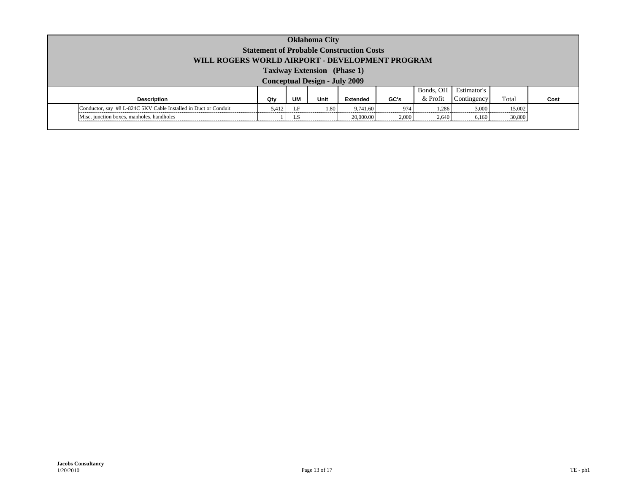| <b>Oklahoma City</b><br><b>Statement of Probable Construction Costs</b><br>WILL ROGERS WORLD AIRPORT - DEVELOPMENT PROGRAM |       |           |      |           |       |           |             |        |      |
|----------------------------------------------------------------------------------------------------------------------------|-------|-----------|------|-----------|-------|-----------|-------------|--------|------|
| <b>Taxiway Extension</b> (Phase 1)<br><b>Conceptual Design - July 2009</b>                                                 |       |           |      |           |       |           |             |        |      |
|                                                                                                                            |       |           |      |           |       | Bonds, OH | Estimator's |        |      |
| <b>Description</b>                                                                                                         | Qty   | <b>UM</b> | Unit | Extended  | GC's  | & Profit  | Contingency | Total  | Cost |
| Conductor, say #8 L-824C 5KV Cable Installed in Duct or Conduit                                                            | 5,412 | LF        | 1.80 | 9.741.60  | 974   | 1.286     | 3,000       | 15,002 |      |
| Misc. junction boxes, manholes, handholes                                                                                  |       | LS.       |      | 20,000.00 | 2,000 | 2,640     | 6,160       | 30,800 |      |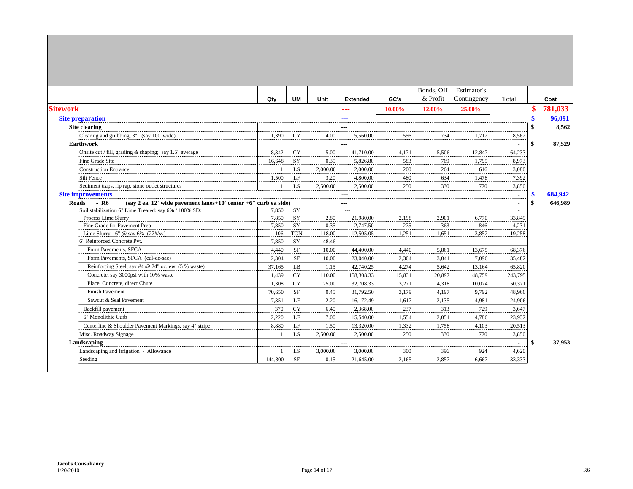|                                                                                  |         |            |          |                 |        | Bonds, OH | Estimator's |         |               |         |
|----------------------------------------------------------------------------------|---------|------------|----------|-----------------|--------|-----------|-------------|---------|---------------|---------|
|                                                                                  | Qty     | <b>UM</b>  | Unit     | <b>Extended</b> | GC's   | & Profit  | Contingency | Total   |               | Cost    |
| <b>Sitework</b>                                                                  |         |            |          | ---             | 10.00% | 12.00%    | 25.00%      |         |               | 781,033 |
| <b>Site preparation</b>                                                          |         |            |          | $- - -$         |        |           |             |         |               | 96.091  |
| <b>Site clearing</b>                                                             |         |            |          | $---$           |        |           |             |         |               | 8,562   |
| Clearing and grubbing, 3" (say 100' wide)                                        | 1,390   | <b>CY</b>  | 4.00     | 5,560.00        | 556    | 734       | 1,712       | 8,562   |               |         |
| <b>Earthwork</b>                                                                 |         |            |          | $---$           |        |           |             |         | \$            | 87,529  |
| Onsite cut / fill, grading $\&$ shaping; say 1.5" average                        | 8,342   | <b>CY</b>  | 5.00     | 41,710.00       | 4,171  | 5,506     | 12,847      | 64,233  |               |         |
| Fine Grade Site                                                                  | 16,648  | <b>SY</b>  | 0.35     | 5,826.80        | 583    | 769       | 1,795       | 8,973   |               |         |
| <b>Construction Entrance</b>                                                     |         | <b>LS</b>  | 2,000.00 | 2,000.00        | 200    | 264       | 616         | 3,080   |               |         |
| <b>Silt Fence</b>                                                                | 1,500   | LF         | 3.20     | 4,800.00        | 480    | 634       | 1,478       | 7,392   |               |         |
| Sediment traps, rip rap, stone outlet structures                                 |         | LS         | 2,500.00 | 2,500.00        | 250    | 330       | 770         | 3,850   |               |         |
| <b>Site improvements</b>                                                         |         |            |          | $---$           |        |           |             | ÷       | \$            | 684.942 |
| - R6<br>(say 2 ea. 12' wide pavement lanes+10' center +6" curb ea side)<br>Roads |         |            |          | $---$           |        |           |             |         | \$            | 646,989 |
| Soil stabilization 6" Lime Treated: say 6% / 100% SD:                            | 7,850   | SY         |          | $---$           |        |           |             | ÷.      |               |         |
| Process Lime Slurry                                                              | 7,850   | SY         | 2.80     | 21,980.00       | 2,198  | 2,901     | 6,770       | 33,849  |               |         |
| Fine Grade for Pavement Prep                                                     | 7,850   | SY         | 0.35     | 2,747.50        | 275    | 363       | 846         | 4,231   |               |         |
| Lime Slurry - 6" @ say 6% $(27\frac{H}{Sy})$                                     | 106     | <b>TON</b> | 118.00   | 12,505.05       | 1,251  | 1,651     | 3,852       | 19,258  |               |         |
| 6" Reinforced Concrete Pvt.                                                      | 7,850   | SY         | 48.46    |                 |        |           |             |         |               |         |
| Form Pavements, SFCA                                                             | 4,440   | <b>SF</b>  | 10.00    | 44,400.00       | 4.440  | 5.861     | 13,675      | 68.376  |               |         |
| Form Pavements, SFCA (cul-de-sac)                                                | 2,304   | <b>SF</b>  | 10.00    | 23,040.00       | 2,304  | 3,041     | 7,096       | 35,482  |               |         |
| Reinforcing Steel, say #4 @ 24" oc, ew (5 % waste)                               | 37,165  | LB.        | 1.15     | 42,740.25       | 4,274  | 5,642     | 13,164      | 65,820  |               |         |
| Concrete, say 3000psi with 10% waste                                             | 1.439   | <b>CY</b>  | 110.00   | 158,308.33      | 15,831 | 20,897    | 48,759      | 243,795 |               |         |
| Place Concrete, direct Chute                                                     | 1,308   | <b>CY</b>  | 25.00    | 32,708.33       | 3,271  | 4,318     | 10,074      | 50,371  |               |         |
| <b>Finish Pavement</b>                                                           | 70,650  | <b>SF</b>  | 0.45     | 31,792.50       | 3,179  | 4,197     | 9.792       | 48.960  |               |         |
| Sawcut & Seal Pavement                                                           | 7,351   | LF         | 2.20     | 16,172.49       | 1,617  | 2,135     | 4,981       | 24,906  |               |         |
| Backfill pavement                                                                | 370     | <b>CY</b>  | 6.40     | 2,368.00        | 237    | 313       | 729         | 3,647   |               |         |
| 6" Monolithic Curb                                                               | 2,220   | LF         | 7.00     | 15,540.00       | 1.554  | 2,051     | 4,786       | 23.932  |               |         |
| Centerline & Shoulder Pavement Markings, say 4" stripe                           | 8,880   | LE         | 1.50     | 13,320.00       | 1,332  | 1,758     | 4,103       | 20,513  |               |         |
| Misc. Roadway Signage                                                            |         | LS         | 2,500.00 | 2,500.00        | 250    | 330       | 770         | 3,850   |               |         |
| Landscaping                                                                      |         |            |          | $---$           |        |           |             |         | <sup>\$</sup> | 37,953  |
| Landscaping and Irrigation - Allowance                                           |         | <b>LS</b>  | 3,000.00 | 3,000.00        | 300    | 396       | 924         | 4,620   |               |         |
| Seeding                                                                          | 144,300 | <b>SF</b>  | 0.15     | 21,645.00       | 2,165  | 2,857     | 6.667       | 33,333  |               |         |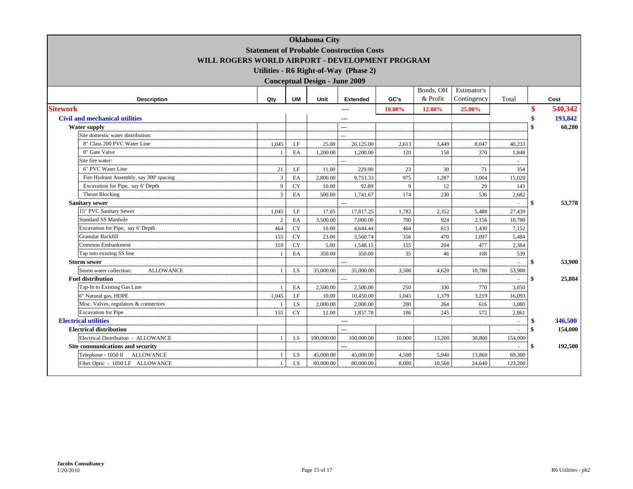|                                             |                                                 |           | <b>Oklahoma City</b>                 |                                       |        |           |             |         |     |         |
|---------------------------------------------|-------------------------------------------------|-----------|--------------------------------------|---------------------------------------|--------|-----------|-------------|---------|-----|---------|
|                                             | <b>Statement of Probable Construction Costs</b> |           |                                      |                                       |        |           |             |         |     |         |
|                                             | WILL ROGERS WORLD AIRPORT - DEVELOPMENT PROGRAM |           |                                      |                                       |        |           |             |         |     |         |
|                                             |                                                 |           |                                      | Utilities - R6 Right-of-Way (Phase 2) |        |           |             |         |     |         |
|                                             |                                                 |           | <b>Conceptual Design - June 2009</b> |                                       |        |           |             |         |     |         |
|                                             |                                                 |           |                                      |                                       |        | Bonds, OH | Estimator's |         |     |         |
| <b>Description</b>                          | Qty                                             | <b>UM</b> | Unit                                 | <b>Extended</b>                       | GC's   | & Profit  | Contingency | Total   |     | Cost    |
| <b>Sitework</b>                             |                                                 |           |                                      | ---                                   | 10.00% | 12.00%    | 25.00%      |         |     | 540,342 |
| <b>Civil and mechanical utilities</b>       |                                                 |           |                                      | ---                                   |        |           |             |         | \$  | 193,842 |
| <b>Water supply</b>                         |                                                 |           |                                      | ---                                   |        |           |             |         |     | 60,280  |
| Site domestic water distribution:           |                                                 |           |                                      |                                       |        |           |             |         |     |         |
| 8" Class 200 PVC Water Line                 | 1.045                                           | LF        | 25.00                                | 26,125.00                             | 2,613  | 3,449     | 8,047       | 40,233  |     |         |
| 8" Gate Valve                               |                                                 | EA        | 1,200.00                             | 1,200.00                              | 120    | 158       | 370         | 1,848   |     |         |
| Site fire water:                            |                                                 |           |                                      | $\overline{a}$                        |        |           |             |         |     |         |
| 6" PVC Water Line                           | 21                                              | LF        | 11.00                                | 229.90                                | 23     | 30        | 71          | 354     |     |         |
| Fire Hydrant Assembly, say 300' spacing     | 3                                               | EA        | 2,800.00                             | 9,753.33                              | 975    | 1,287     | 3,004       | 15,020  |     |         |
| Excavation for Pipe, say 6' Depth           | 9                                               | CY        | 10.00                                | 92.89                                 | -9     | 12        | 29          | 143     |     |         |
| <b>Thrust Blocking</b>                      | $\overline{3}$                                  | EA        | 500.00                               | 1,741.67                              | 174    | 230       | 536         | 2,682   |     |         |
| <b>Sanitary sewer</b>                       |                                                 |           |                                      | $\overline{a}$                        |        |           |             |         | \$  | 53,778  |
| 15" PVC Sanitary Sewer                      | 1,045                                           | LF        | 17.05                                | 17,817.25                             | 1,782  | 2,352     | 5,488       | 27,439  |     |         |
| Standard SS Manhole                         | 2                                               | EA        | 3,500.00                             | 7,000.00                              | 700    | 924       | 2,156       | 10,780  |     |         |
| Excavation for Pipe, say 6' Depth           | 464                                             | <b>CY</b> | 10.00                                | 4,644.44                              | 464    | 613       | 1,430       | 7,152   |     |         |
| <b>Granular Backfill</b>                    | 155                                             | <b>CY</b> | 23.00                                | 3,560.74                              | 356    | 470       | 1,097       | 5,484   |     |         |
| Common Embankment                           | 310                                             | <b>CY</b> | 5.00                                 | 1,548.15                              | 155    | 204       | 477         | 2,384   |     |         |
| Tap into existing SS line                   |                                                 | EA        | 350.00                               | 350.00                                | 35     | 46        | 108         | 539     |     |         |
| <b>Storm sewer</b>                          |                                                 |           |                                      | $---$                                 |        |           |             | ÷.      | -\$ | 53,900  |
| Storm water collection:<br><b>ALLOWANCE</b> |                                                 | LS        | 35,000.00                            | 35,000.00                             | 3,500  | 4,620     | 10,780      | 53,900  |     |         |
| <b>Fuel distribution</b>                    |                                                 |           |                                      |                                       |        |           |             |         | \$  | 25,884  |
| Tap-In to Existing Gas Line                 |                                                 | EA        | 2,500.00                             | 2,500.00                              | 250    | 330       | 770         | 3,850   |     |         |
| 6" Natural gas, HDPE                        | 1,045                                           | LF        | 10.00                                | 10,450.00                             | 1,045  | 1,379     | 3,219       | 16,093  |     |         |
| Misc. Valves, regulators & connectors       |                                                 | LS        | 2,000.00                             | 2,000.00                              | 200    | 264       | 616         | 3,080   |     |         |
| <b>Excavation</b> for Pipe                  | 155                                             | <b>CY</b> | 12.00                                | 1,857.78                              | 186    | 245       | 572         | 2,861   |     |         |
| <b>Electrical utilities</b>                 |                                                 |           |                                      | $---$                                 |        |           |             |         | \$  | 346,500 |
| <b>Electrical distribution</b>              |                                                 |           |                                      | $\overline{a}$                        |        |           |             |         | \$  | 154,000 |
| Electrical Distribution - ALLOWANCE         | -1                                              | <b>LS</b> | 100,000,00                           | 100,000.00                            | 10,000 | 13,200    | 30,800      | 154,000 |     |         |
| Site communications and security            |                                                 |           |                                      | ---                                   |        |           |             |         | \$  | 192,500 |
| Telephone - 1050 lf ALLOWANCE               |                                                 | LS        | 45,000.00                            | 45,000.00                             | 4,500  | 5,940     | 13,860      | 69,300  |     |         |
| Fiber Optic - 1050 LF ALLOWANCE             | $\overline{1}$                                  | LS.       | 80,000.00                            | 80,000.00                             | 8,000  | 10,560    | 24,640      | 123,200 |     |         |
|                                             |                                                 |           |                                      |                                       |        |           |             |         |     |         |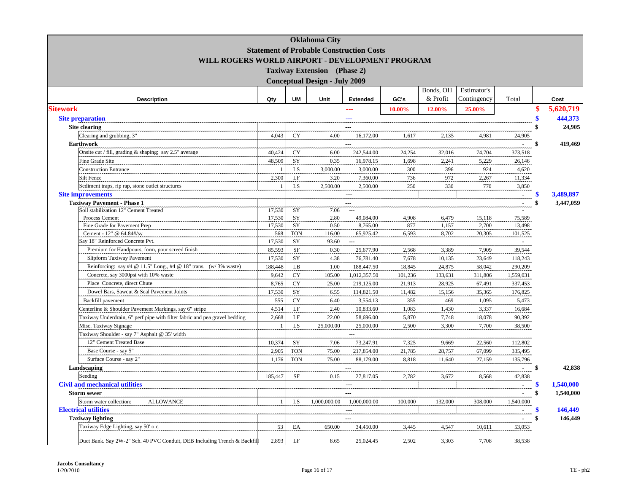|                                                                            |                         |            | <b>Oklahoma</b> City                 |                                                 |                 |           |             |                          |                                 |
|----------------------------------------------------------------------------|-------------------------|------------|--------------------------------------|-------------------------------------------------|-----------------|-----------|-------------|--------------------------|---------------------------------|
|                                                                            |                         |            |                                      | <b>Statement of Probable Construction Costs</b> |                 |           |             |                          |                                 |
| WILL ROGERS WORLD AIRPORT - DEVELOPMENT PROGRAM                            |                         |            |                                      |                                                 |                 |           |             |                          |                                 |
|                                                                            |                         |            | <b>Taxiway Extension</b> (Phase 2)   |                                                 |                 |           |             |                          |                                 |
|                                                                            |                         |            | <b>Conceptual Design - July 2009</b> |                                                 |                 |           |             |                          |                                 |
|                                                                            |                         |            |                                      |                                                 |                 | Bonds, OH | Estimator's |                          |                                 |
| <b>Description</b>                                                         | Qty                     | <b>UM</b>  | Unit                                 | <b>Extended</b>                                 | GC's            | & Profit  | Contingency | Total                    | Cost                            |
| <b>Sitework</b>                                                            |                         |            |                                      | ---                                             | 10.00%          | 12.00%    | 25.00%      |                          | 5.620.719                       |
| <b>Site preparation</b>                                                    |                         |            |                                      | ---                                             |                 |           |             |                          | 444,373                         |
| <b>Site clearing</b>                                                       |                         |            |                                      | $\overline{a}$                                  |                 |           |             |                          | $\mathbf{\$}$<br>24,905         |
| Clearing and grubbing, 3"                                                  | 4,043                   | CY         | 4.00                                 | 16,172.00                                       | 1,617           | 2,135     | 4,981       | 24,905                   |                                 |
| Earthwork                                                                  |                         |            |                                      |                                                 |                 |           |             |                          | 419,469<br>\$                   |
| Onsite cut / fill, grading & shaping; say 2.5" average                     | 40,424                  | <b>CY</b>  | 6.00                                 | 242,544.00                                      | 24,254          | 32,016    | 74,704      | 373,518                  |                                 |
| Fine Grade Site                                                            | 48,509                  | SY         | 0.35                                 | 16,978.15                                       | 1,698           | 2,241     | 5,229       | 26,146                   |                                 |
| <b>Construction Entrance</b>                                               |                         | LS         | 3,000.00                             | 3,000.00                                        | 300             | 396       | 924         | 4,620                    |                                 |
| Silt Fence                                                                 | 2,300                   | $\rm LF$   | 3.20                                 | 7,360.00                                        | 736             | 972       | 2,267       | 11,334                   |                                 |
| Sediment traps, rip rap, stone outlet structures                           |                         | LS         | 2,500.00                             | 2,500.00                                        | 250             | 330       | 770         | 3,850                    |                                 |
| <b>Site improvements</b>                                                   |                         |            |                                      | $\sim$                                          |                 |           |             | $\mathbb{Z}^2$           | 3,489,897<br>S                  |
| <b>Taxiway Pavement - Phase 1</b>                                          |                         |            |                                      | ---                                             |                 |           |             | $\overline{\phantom{a}}$ | \$<br>3,447,059                 |
| Soil stabilization 12" Cement Treated                                      | 17,530                  | SY         | 7.06                                 | $\overline{a}$                                  |                 |           |             |                          |                                 |
| Process Cement                                                             | 17,530                  | SY         | 2.80                                 | 49,084.00                                       | 4,908           | 6,479     | 15,118      | 75,589                   |                                 |
| Fine Grade for Pavement Prep                                               | 17,530                  | SY         | 0.50                                 | 8,765.00                                        | 877             | 1,157     | 2,700       | 13,498                   |                                 |
| Cement - 12" @ 64.84#/sy                                                   | 568                     | <b>TON</b> | 116.00                               | 65,925.42                                       | 6,593           | 8,702     | 20,305      | 101,525                  |                                 |
| Say 18" Reinforced Concrete Pvt.                                           | 17,530                  | SY         | 93.60                                | $\overline{a}$                                  |                 |           |             |                          |                                 |
| Premium for Handpours, form, pour screed finish                            | 85,593                  | $\rm{SF}$  | 0.30                                 | 25,677.90                                       | 2,568           | 3,389     | 7,909       | 39,544                   |                                 |
| Slipform Taxiway Pavement                                                  | 17,530                  | SY         | 4.38                                 | 76,781.40                                       | 7,678           | 10,135    | 23,649      | 118,243                  |                                 |
| Reinforcing: say #4 @ 11.5" Long., #4 @ 18" trans. (w/3% waste)            | 188,448                 | LB         | 1.00                                 | 188,447.50                                      | 18,845          | 24,875    | 58,042      | 290.209                  |                                 |
| Concrete, say 3000psi with 10% waste                                       | 9,642                   | <b>CY</b>  | 105.00                               | 1,012,357.50                                    | 101,236         | 133,631   | 311,806     | 1,559,031                |                                 |
| Place Concrete, direct Chute                                               | 8,765                   | <b>CY</b>  | 25.00                                | 219,125.00                                      | 21,913          | 28,925    | 67,491      | 337,453                  |                                 |
| Dowel Bars, Sawcut & Seal Pavement Joints                                  | 17,530                  | SY         | 6.55                                 | 114,821.50                                      | 11,482          | 15,156    | 35,365      | 176,825                  |                                 |
| Backfill pavement                                                          | 555                     | <b>CY</b>  | 6.40                                 | 3,554.13                                        | 355             | 469       | 1,095       | 5,473                    |                                 |
| Centerline & Shoulder Pavement Markings, say 6" stripe                     | 4,514                   | LF         | 2.40                                 | 10,833.60                                       | 1,083           | 1,430     | 3,337       | 16,684                   |                                 |
| Taxiway Underdrain, 6" perf pipe with filter fabric and pea gravel bedding | 2,668<br>$\overline{1}$ | LF         | 22.00                                | 58,696.00                                       | 5,870           | 7,748     | 18,078      | 90,392                   |                                 |
| Misc. Taxiway Signage                                                      |                         | LS         | 25,000.00                            | 25,000.00                                       | 2,500           | 3,300     | 7,700       | 38,500                   |                                 |
| Taxiway Shoulder - say 7" Asphalt @ 35' width<br>12" Cement Treated Base   | 10,374                  | SY         | 7.06                                 | 73,247.91                                       |                 | 9.669     | 22,560      |                          |                                 |
| Base Course - say 5"                                                       | 2,905                   | <b>TON</b> | 75.00                                |                                                 | 7,325<br>21,785 |           |             | 112,802<br>335,495       |                                 |
|                                                                            |                         |            |                                      | 217,854.00                                      |                 | 28,757    | 67,099      |                          |                                 |
| Surface Course - say 2"                                                    | 1,176                   | <b>TON</b> | 75.00                                | 88,179.00                                       | 8,818           | 11,640    | 27,159      | 135,796                  |                                 |
| Landscaping<br>Seeding                                                     | 185,447                 | SF         | 0.15                                 | 27,817.05                                       | 2,782           |           | 8,568       | 42,838                   | \$<br>42,838                    |
|                                                                            |                         |            |                                      |                                                 |                 | 3,672     |             |                          |                                 |
| <b>Civil and mechanical utilities</b>                                      |                         |            |                                      | $\sim$<br>$\overline{a}$                        |                 |           |             | $\mathcal{L}$            | 1,540,000<br>\$<br>$\mathbf{s}$ |
| <b>Storm sewer</b>                                                         | $\overline{1}$          |            |                                      |                                                 |                 |           |             | $\sim$                   | 1,540,000                       |
| Storm water collection:<br><b>ALLOWANCE</b><br><b>Electrical utilities</b> |                         | LS         | 1,000,000.00                         | 1,000,000.00<br>---                             | 100,000         | 132,000   | 308,000     | 1,540,000                | 146,449                         |
|                                                                            |                         |            |                                      | $\overline{a}$                                  |                 |           |             |                          | \$<br>146,449                   |
| <b>Taxiway lighting</b><br>Taxiway Edge Lighting, say 50' o.c.             | 53                      | EA         | 650.00                               | 34,450.00                                       |                 | 4,547     | 10,611      | 53,053                   |                                 |
|                                                                            |                         |            |                                      |                                                 | 3,445           |           |             |                          |                                 |
| Duct Bank. Say 2W-2" Sch. 40 PVC Conduit, DEB Including Trench & Backfil   | 2,893                   | LF         | 8.65                                 | 25,024.45                                       | 2,502           | 3,303     | 7,708       | 38,538                   |                                 |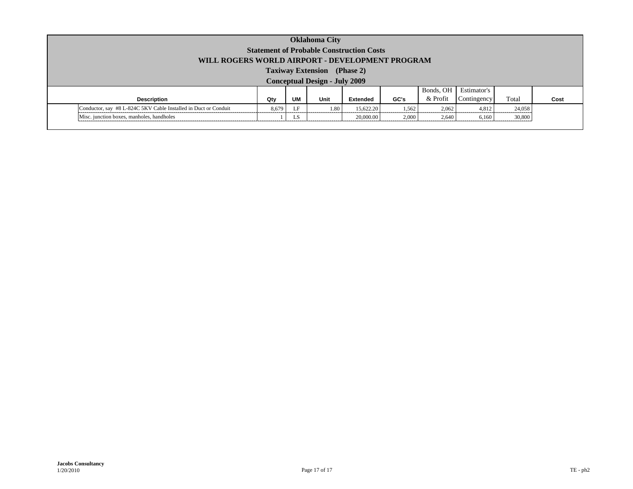| <b>Oklahoma City</b><br><b>Statement of Probable Construction Costs</b><br>WILL ROGERS WORLD AIRPORT - DEVELOPMENT PROGRAM |                                      |    |      |                 |       |           |             |        |      |  |
|----------------------------------------------------------------------------------------------------------------------------|--------------------------------------|----|------|-----------------|-------|-----------|-------------|--------|------|--|
| <b>Taxiway Extension</b> (Phase 2)                                                                                         |                                      |    |      |                 |       |           |             |        |      |  |
|                                                                                                                            | <b>Conceptual Design - July 2009</b> |    |      |                 |       |           |             |        |      |  |
|                                                                                                                            |                                      |    |      |                 |       | Bonds, OH | Estimator's |        |      |  |
| <b>Description</b>                                                                                                         | Qty                                  | UM | Unit | <b>Extended</b> | GC's  | & Profit  | Contingency | Total  | Cost |  |
| Conductor, say #8 L-824C 5KV Cable Installed in Duct or Conduit                                                            | 8.679                                | LF | 1.80 | 15.622.20       | 1,562 | 2.062     | 4.812       | 24,058 |      |  |
| Misc. junction boxes, manholes, handholes                                                                                  |                                      | LS |      | 20,000.00       | 2,000 | 2,640     | 6,160       | 30,800 |      |  |
|                                                                                                                            |                                      |    |      |                 |       |           |             |        |      |  |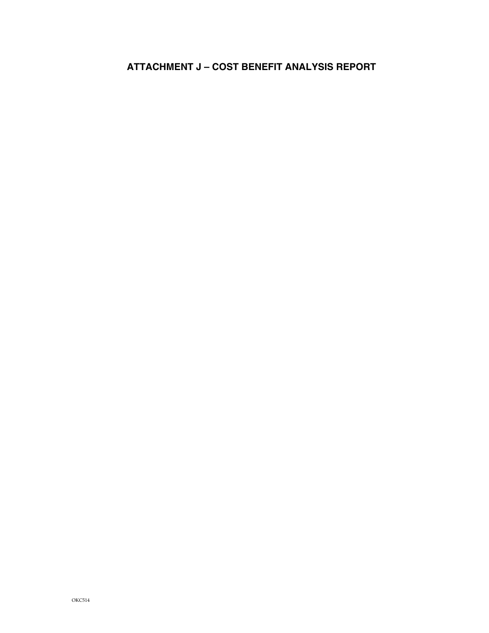# **ATTACHMENT J – COST BENEFIT ANALYSIS REPORT**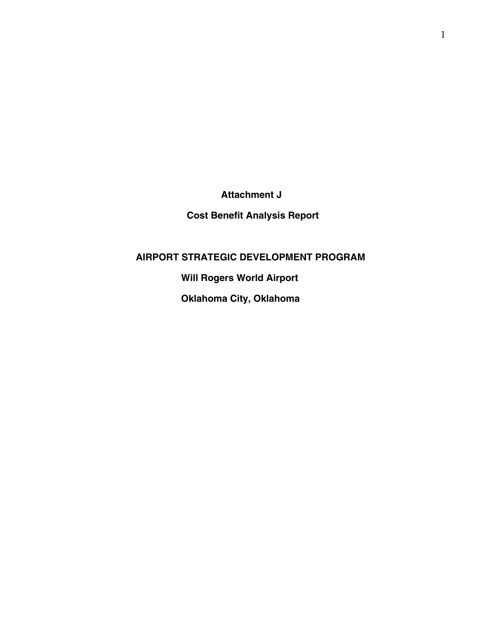**Attachment J** 

**Cost Benefit Analysis Report** 

 **AIRPORT STRATEGIC DEVELOPMENT PROGRAM** 

 **Will Rogers World Airport** 

 **Oklahoma City, Oklahoma**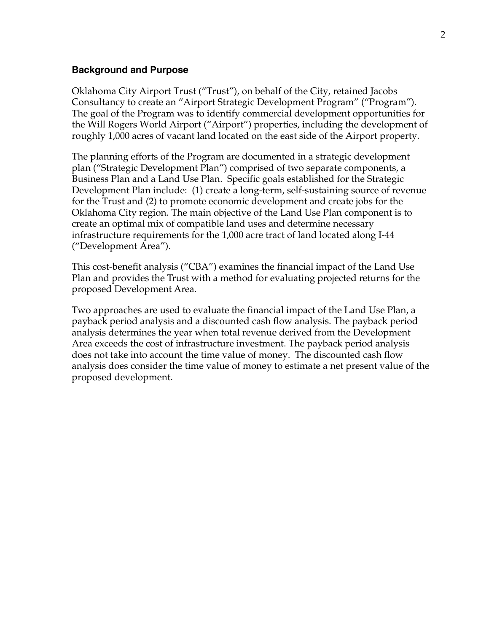#### **Background and Purpose**

Oklahoma City Airport Trust ("Trust"), on behalf of the City, retained Jacobs Consultancy to create an "Airport Strategic Development Program" ("Program"). The goal of the Program was to identify commercial development opportunities for the Will Rogers World Airport ("Airport") properties, including the development of roughly 1,000 acres of vacant land located on the east side of the Airport property.

The planning efforts of the Program are documented in a strategic development plan ("Strategic Development Plan") comprised of two separate components, a Business Plan and a Land Use Plan. Specific goals established for the Strategic Development Plan include: (1) create a long-term, self-sustaining source of revenue for the Trust and (2) to promote economic development and create jobs for the Oklahoma City region. The main objective of the Land Use Plan component is to create an optimal mix of compatible land uses and determine necessary infrastructure requirements for the 1,000 acre tract of land located along I-44 ("Development Area").

This cost-benefit analysis ("CBA") examines the financial impact of the Land Use Plan and provides the Trust with a method for evaluating projected returns for the proposed Development Area.

Two approaches are used to evaluate the financial impact of the Land Use Plan, a payback period analysis and a discounted cash flow analysis. The payback period analysis determines the year when total revenue derived from the Development Area exceeds the cost of infrastructure investment. The payback period analysis does not take into account the time value of money. The discounted cash flow analysis does consider the time value of money to estimate a net present value of the proposed development.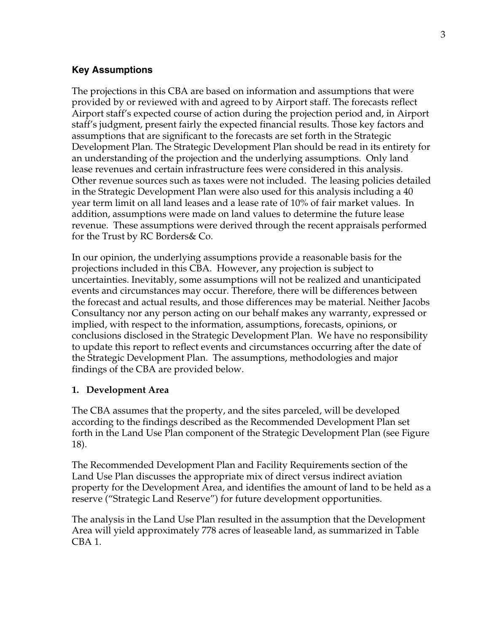#### **Key Assumptions**

The projections in this CBA are based on information and assumptions that were provided by or reviewed with and agreed to by Airport staff. The forecasts reflect Airport staff's expected course of action during the projection period and, in Airport staff's judgment, present fairly the expected financial results. Those key factors and assumptions that are significant to the forecasts are set forth in the Strategic Development Plan. The Strategic Development Plan should be read in its entirety for an understanding of the projection and the underlying assumptions. Only land lease revenues and certain infrastructure fees were considered in this analysis. Other revenue sources such as taxes were not included. The leasing policies detailed in the Strategic Development Plan were also used for this analysis including a 40 year term limit on all land leases and a lease rate of 10% of fair market values. In addition, assumptions were made on land values to determine the future lease revenue. These assumptions were derived through the recent appraisals performed for the Trust by RC Borders& Co.

In our opinion, the underlying assumptions provide a reasonable basis for the projections included in this CBA. However, any projection is subject to uncertainties. Inevitably, some assumptions will not be realized and unanticipated events and circumstances may occur. Therefore, there will be differences between the forecast and actual results, and those differences may be material. Neither Jacobs Consultancy nor any person acting on our behalf makes any warranty, expressed or implied, with respect to the information, assumptions, forecasts, opinions, or conclusions disclosed in the Strategic Development Plan. We have no responsibility to update this report to reflect events and circumstances occurring after the date of the Strategic Development Plan. The assumptions, methodologies and major findings of the CBA are provided below.

#### **1. Development Area**

The CBA assumes that the property, and the sites parceled, will be developed according to the findings described as the Recommended Development Plan set forth in the Land Use Plan component of the Strategic Development Plan (see Figure 18).

The Recommended Development Plan and Facility Requirements section of the Land Use Plan discusses the appropriate mix of direct versus indirect aviation property for the Development Area, and identifies the amount of land to be held as a reserve ("Strategic Land Reserve") for future development opportunities.

The analysis in the Land Use Plan resulted in the assumption that the Development Area will yield approximately 778 acres of leaseable land, as summarized in Table CBA 1.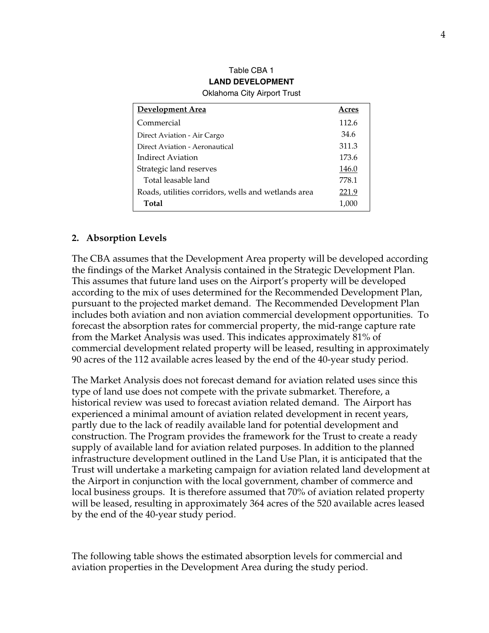| Development Area                                    | Acres |
|-----------------------------------------------------|-------|
| Commercial                                          | 112.6 |
| Direct Aviation - Air Cargo                         | 34.6  |
| Direct Aviation - Aeronautical                      | 311.3 |
| Indirect Aviation                                   | 173.6 |
| Strategic land reserves                             | 146.0 |
| Total leasable land                                 | 778.1 |
| Roads, utilities corridors, wells and wetlands area | 221.9 |
| Total                                               | 1.000 |

#### Table CBA 1 **LAND DEVELOPMENT**  Oklahoma City Airport Trust

### **2. Absorption Levels**

The CBA assumes that the Development Area property will be developed according the findings of the Market Analysis contained in the Strategic Development Plan. This assumes that future land uses on the Airport's property will be developed according to the mix of uses determined for the Recommended Development Plan, pursuant to the projected market demand. The Recommended Development Plan includes both aviation and non aviation commercial development opportunities. To forecast the absorption rates for commercial property, the mid-range capture rate from the Market Analysis was used. This indicates approximately 81% of commercial development related property will be leased, resulting in approximately 90 acres of the 112 available acres leased by the end of the 40-year study period.

The Market Analysis does not forecast demand for aviation related uses since this type of land use does not compete with the private submarket. Therefore, a historical review was used to forecast aviation related demand. The Airport has experienced a minimal amount of aviation related development in recent years, partly due to the lack of readily available land for potential development and construction. The Program provides the framework for the Trust to create a ready supply of available land for aviation related purposes. In addition to the planned infrastructure development outlined in the Land Use Plan, it is anticipated that the Trust will undertake a marketing campaign for aviation related land development at the Airport in conjunction with the local government, chamber of commerce and local business groups. It is therefore assumed that 70% of aviation related property will be leased, resulting in approximately 364 acres of the 520 available acres leased by the end of the 40-year study period.

The following table shows the estimated absorption levels for commercial and aviation properties in the Development Area during the study period.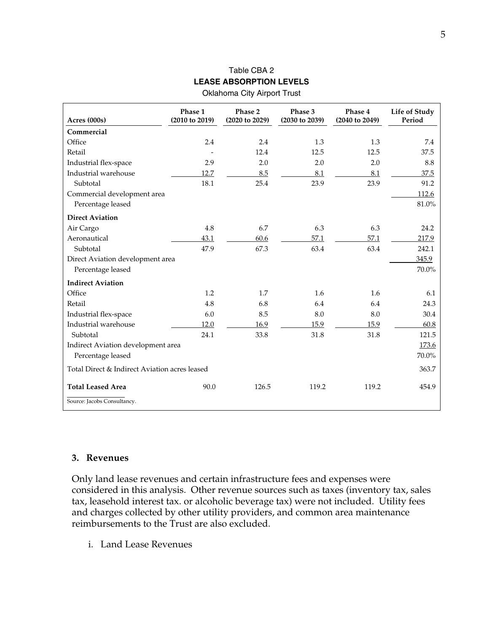# Table CBA 2 **LEASE ABSORPTION LEVELS**

| <b>Oklahoma City Airport Trust</b> |  |  |  |
|------------------------------------|--|--|--|
|------------------------------------|--|--|--|

| Acres (000s)                                  | Phase 1<br>(2010 to 2019) | Phase 2<br>(2020 to 2029) | Phase 3<br>(2030 to 2039) | Phase 4<br>(2040 to 2049) | Life of Study<br>Period |
|-----------------------------------------------|---------------------------|---------------------------|---------------------------|---------------------------|-------------------------|
| Commercial                                    |                           |                           |                           |                           |                         |
| Office                                        | 2.4                       | 2.4                       | 1.3                       | 1.3                       | 7.4                     |
| Retail                                        |                           | 12.4                      | 12.5                      | 12.5                      | 37.5                    |
| Industrial flex-space                         | 2.9                       | 2.0                       | 2.0                       | 2.0                       | 8.8                     |
| Industrial warehouse                          | 12.7                      | 8.5                       | 8.1                       | 8.1                       | 37.5                    |
| Subtotal                                      | 18.1                      | 25.4                      | 23.9                      | 23.9                      | 91.2                    |
| Commercial development area                   |                           |                           |                           |                           | 112.6                   |
| Percentage leased                             |                           |                           |                           |                           | $81.0\%$                |
| <b>Direct Aviation</b>                        |                           |                           |                           |                           |                         |
| Air Cargo                                     | 4.8                       | 6.7                       | 6.3                       | 6.3                       | 24.2                    |
| Aeronautical                                  | 43.1                      | 60.6                      | 57.1                      | 57.1                      | 217.9                   |
| Subtotal                                      | 47.9                      | 67.3                      | 63.4                      | 63.4                      | 242.1                   |
| Direct Aviation development area              |                           |                           |                           |                           | 345.9                   |
| Percentage leased                             |                           |                           |                           |                           | 70.0%                   |
| <b>Indirect Aviation</b>                      |                           |                           |                           |                           |                         |
| Office                                        | 1.2                       | 1.7                       | 1.6                       | 1.6                       | 6.1                     |
| Retail                                        | 4.8                       | 6.8                       | 6.4                       | 6.4                       | 24.3                    |
| Industrial flex-space                         | 6.0                       | 8.5                       | 8.0                       | 8.0                       | 30.4                    |
| Industrial warehouse                          | 12.0                      | 16.9                      | 15.9                      | 15.9                      | 60.8                    |
| Subtotal                                      | 24.1                      | 33.8                      | 31.8                      | 31.8                      | 121.5                   |
| Indirect Aviation development area            |                           |                           |                           |                           | 173.6                   |
| Percentage leased                             |                           |                           |                           |                           | 70.0%                   |
| Total Direct & Indirect Aviation acres leased |                           |                           |                           |                           | 363.7                   |
| <b>Total Leased Area</b>                      | 90.0                      | 126.5                     | 119.2                     | 119.2                     | 454.9                   |
| Source: Jacobs Consultancy.                   |                           |                           |                           |                           |                         |

#### **3. Revenues**

Only land lease revenues and certain infrastructure fees and expenses were considered in this analysis. Other revenue sources such as taxes (inventory tax, sales tax, leasehold interest tax. or alcoholic beverage tax) were not included. Utility fees and charges collected by other utility providers, and common area maintenance reimbursements to the Trust are also excluded.

i. Land Lease Revenues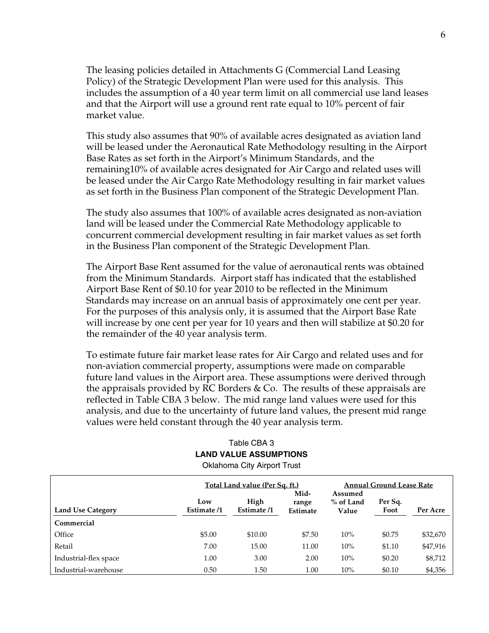The leasing policies detailed in Attachments G (Commercial Land Leasing Policy) of the Strategic Development Plan were used for this analysis. This includes the assumption of a 40 year term limit on all commercial use land leases and that the Airport will use a ground rent rate equal to 10% percent of fair market value.

This study also assumes that 90% of available acres designated as aviation land will be leased under the Aeronautical Rate Methodology resulting in the Airport Base Rates as set forth in the Airport's Minimum Standards, and the remaining10% of available acres designated for Air Cargo and related uses will be leased under the Air Cargo Rate Methodology resulting in fair market values as set forth in the Business Plan component of the Strategic Development Plan.

The study also assumes that 100% of available acres designated as non-aviation land will be leased under the Commercial Rate Methodology applicable to concurrent commercial development resulting in fair market values as set forth in the Business Plan component of the Strategic Development Plan.

The Airport Base Rent assumed for the value of aeronautical rents was obtained from the Minimum Standards. Airport staff has indicated that the established Airport Base Rent of \$0.10 for year 2010 to be reflected in the Minimum Standards may increase on an annual basis of approximately one cent per year. For the purposes of this analysis only, it is assumed that the Airport Base Rate will increase by one cent per year for 10 years and then will stabilize at \$0.20 for the remainder of the 40 year analysis term.

To estimate future fair market lease rates for Air Cargo and related uses and for non-aviation commercial property, assumptions were made on comparable future land values in the Airport area. These assumptions were derived through the appraisals provided by RC Borders & Co. The results of these appraisals are reflected in Table CBA 3 below. The mid range land values were used for this analysis, and due to the uncertainty of future land values, the present mid range values were held constant through the 40 year analysis term.

## Table CBA 3 **LAND VALUE ASSUMPTIONS**

Oklahoma City Airport Trust

|                          |                    | Total Land value (Per Sq. ft.) |                                  | <b>Annual Ground Lease Rate</b>                  |        |          |  |
|--------------------------|--------------------|--------------------------------|----------------------------------|--------------------------------------------------|--------|----------|--|
| <b>Land Use Category</b> | Low<br>Estimate /1 | High<br>Estimate /1            | Mid-<br>range<br><b>Estimate</b> | Assumed<br>% of Land<br>Per Sq.<br>Foot<br>Value |        | Per Acre |  |
| Commercial               |                    |                                |                                  |                                                  |        |          |  |
| Office                   | \$5.00             | \$10.00                        | \$7.50                           | 10%                                              | \$0.75 | \$32,670 |  |
| Retail                   | 7.00               | 15.00                          | 11.00                            | 10%                                              | \$1.10 | \$47,916 |  |
| Industrial-flex space    | 1.00               | 3.00                           | 2.00                             | 10%                                              | \$0.20 | \$8,712  |  |
| Industrial-warehouse     | 0.50               | 1.50                           | 1.00                             | 10%                                              | \$0.10 | \$4,356  |  |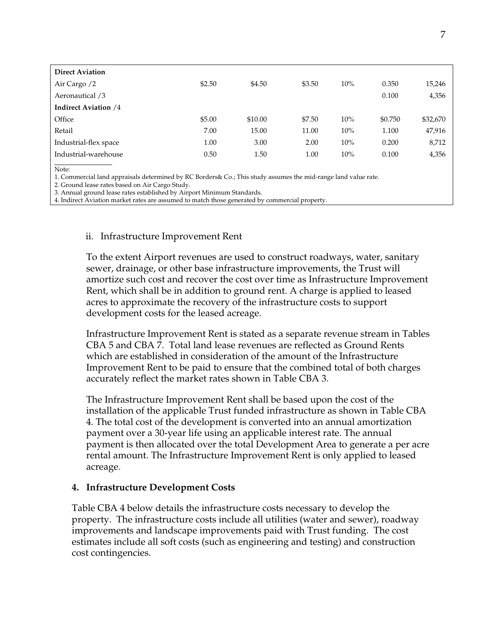| <b>Direct Aviation</b>      |        |         |        |     |         |          |
|-----------------------------|--------|---------|--------|-----|---------|----------|
| Air Cargo /2                | \$2.50 | \$4.50  | \$3.50 | 10% | 0.350   | 15,246   |
| Aeronautical /3             |        |         |        |     | 0.100   | 4,356    |
| <b>Indirect Aviation /4</b> |        |         |        |     |         |          |
| Office                      | \$5.00 | \$10.00 | \$7.50 | 10% | \$0.750 | \$32,670 |
| Retail                      | 7.00   | 15.00   | 11.00  | 10% | 1.100   | 47,916   |
| Industrial-flex space       | 1.00   | 3.00    | 2.00   | 10% | 0.200   | 8,712    |
| Industrial-warehouse        | 0.50   | 1.50    | 1.00   | 10% | 0.100   | 4,356    |
|                             |        |         |        |     |         |          |

Note:

1. Commercial land appraisals determined by RC Borders& Co.; This study assumes the mid-range land value rate.

2. Ground lease rates based on Air Cargo Study.

3. Annual ground lease rates established by Airport Minimum Standards.

4. Indirect Aviation market rates are assumed to match those generated by commercial property.

#### ii. Infrastructure Improvement Rent

To the extent Airport revenues are used to construct roadways, water, sanitary sewer, drainage, or other base infrastructure improvements, the Trust will amortize such cost and recover the cost over time as Infrastructure Improvement Rent, which shall be in addition to ground rent. A charge is applied to leased acres to approximate the recovery of the infrastructure costs to support development costs for the leased acreage.

Infrastructure Improvement Rent is stated as a separate revenue stream in Tables CBA 5 and CBA 7. Total land lease revenues are reflected as Ground Rents which are established in consideration of the amount of the Infrastructure Improvement Rent to be paid to ensure that the combined total of both charges accurately reflect the market rates shown in Table CBA 3.

The Infrastructure Improvement Rent shall be based upon the cost of the installation of the applicable Trust funded infrastructure as shown in Table CBA 4. The total cost of the development is converted into an annual amortization payment over a 30-year life using an applicable interest rate. The annual payment is then allocated over the total Development Area to generate a per acre rental amount. The Infrastructure Improvement Rent is only applied to leased acreage.

#### **4. Infrastructure Development Costs**

Table CBA 4 below details the infrastructure costs necessary to develop the property. The infrastructure costs include all utilities (water and sewer), roadway improvements and landscape improvements paid with Trust funding. The cost estimates include all soft costs (such as engineering and testing) and construction cost contingencies.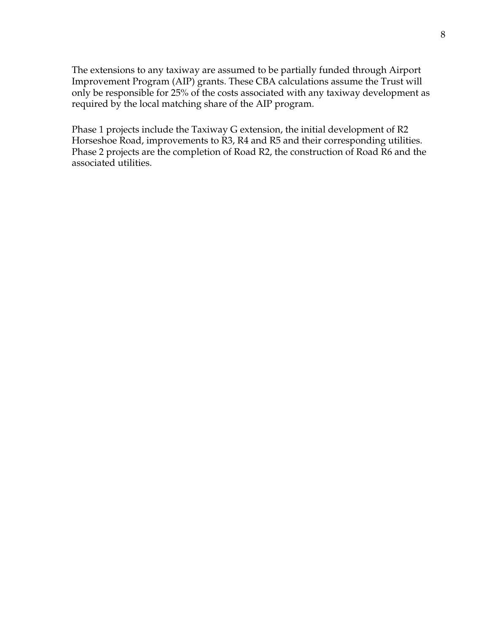The extensions to any taxiway are assumed to be partially funded through Airport Improvement Program (AIP) grants. These CBA calculations assume the Trust will only be responsible for 25% of the costs associated with any taxiway development as required by the local matching share of the AIP program.

Phase 1 projects include the Taxiway G extension, the initial development of R2 Horseshoe Road, improvements to R3, R4 and R5 and their corresponding utilities. Phase 2 projects are the completion of Road R2, the construction of Road R6 and the associated utilities.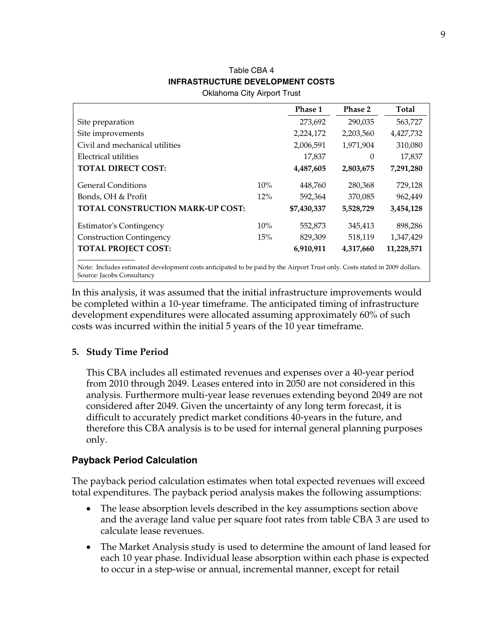## Table CBA 4  **INFRASTRUCTURE DEVELOPMENT COSTS**

Oklahoma City Airport Trust

|                                                                                                                            |     | Phase 1     | Phase 2   | Total      |
|----------------------------------------------------------------------------------------------------------------------------|-----|-------------|-----------|------------|
| Site preparation                                                                                                           |     | 273,692     | 290,035   | 563,727    |
| Site improvements                                                                                                          |     | 2,224,172   | 2,203,560 | 4,427,732  |
| Civil and mechanical utilities                                                                                             |     | 2,006,591   | 1,971,904 | 310,080    |
| Electrical utilities                                                                                                       |     | 17,837      | $\Omega$  | 17,837     |
| <b>TOTAL DIRECT COST:</b>                                                                                                  |     | 4,487,605   | 2,803,675 | 7,291,280  |
| <b>General Conditions</b>                                                                                                  | 10% | 448,760     | 280,368   | 729,128    |
| Bonds, OH & Profit                                                                                                         | 12% | 592,364     | 370,085   | 962,449    |
| <b>TOTAL CONSTRUCTION MARK-UP COST:</b>                                                                                    |     | \$7,430,337 | 5,528,729 | 3,454,128  |
| <b>Estimator's Contingency</b>                                                                                             | 10% | 552,873     | 345.413   | 898,286    |
| <b>Construction Contingency</b>                                                                                            | 15% | 829,309     | 518,119   | 1,347,429  |
| <b>TOTAL PROJECT COST:</b>                                                                                                 |     | 6,910,911   | 4,317,660 | 11,228,571 |
| Note: Includes estimated development costs anticipated to be paid by the Airport Trust only. Costs stated in 2009 dollars. |     |             |           |            |

Source: Jacobs Consultancy

In this analysis, it was assumed that the initial infrastructure improvements would be completed within a 10-year timeframe. The anticipated timing of infrastructure development expenditures were allocated assuming approximately 60% of such costs was incurred within the initial 5 years of the 10 year timeframe.

### **5. Study Time Period**

This CBA includes all estimated revenues and expenses over a 40-year period from 2010 through 2049. Leases entered into in 2050 are not considered in this analysis. Furthermore multi-year lease revenues extending beyond 2049 are not considered after 2049. Given the uncertainty of any long term forecast, it is difficult to accurately predict market conditions 40-years in the future, and therefore this CBA analysis is to be used for internal general planning purposes only.

### **Payback Period Calculation**

The payback period calculation estimates when total expected revenues will exceed total expenditures. The payback period analysis makes the following assumptions:

- The lease absorption levels described in the key assumptions section above and the average land value per square foot rates from table CBA 3 are used to calculate lease revenues.
- The Market Analysis study is used to determine the amount of land leased for each 10 year phase. Individual lease absorption within each phase is expected to occur in a step-wise or annual, incremental manner, except for retail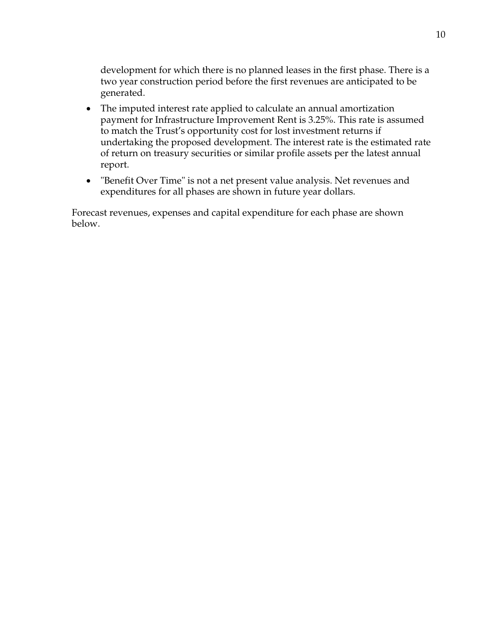development for which there is no planned leases in the first phase. There is a two year construction period before the first revenues are anticipated to be generated.

- The imputed interest rate applied to calculate an annual amortization payment for Infrastructure Improvement Rent is 3.25%. This rate is assumed to match the Trust's opportunity cost for lost investment returns if undertaking the proposed development. The interest rate is the estimated rate of return on treasury securities or similar profile assets per the latest annual report.
- "Benefit Over Time" is not a net present value analysis. Net revenues and expenditures for all phases are shown in future year dollars.

Forecast revenues, expenses and capital expenditure for each phase are shown below.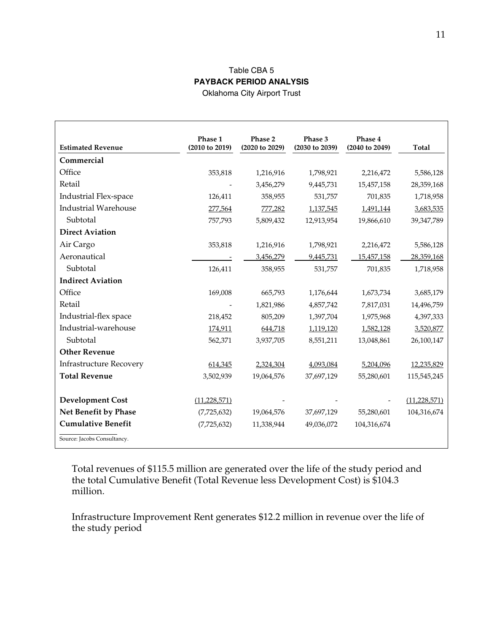#### Table CBA 5 **PAYBACK PERIOD ANALYSIS**  Oklahoma City Airport Trust

|                                | Phase 1        | Phase 2        | Phase 3        | Phase 4        |                |
|--------------------------------|----------------|----------------|----------------|----------------|----------------|
| <b>Estimated Revenue</b>       | (2010 to 2019) | (2020 to 2029) | (2030 to 2039) | (2040 to 2049) | <b>Total</b>   |
| Commercial                     |                |                |                |                |                |
| Office                         | 353,818        | 1,216,916      | 1,798,921      | 2,216,472      | 5,586,128      |
| Retail                         |                | 3,456,279      | 9,445,731      | 15,457,158     | 28,359,168     |
| Industrial Flex-space          | 126,411        | 358,955        | 531,757        | 701,835        | 1,718,958      |
| <b>Industrial Warehouse</b>    | 277,564        | 777,282        | 1,137,545      | 1,491,144      | 3,683,535      |
| Subtotal                       | 757,793        | 5,809,432      | 12,913,954     | 19,866,610     | 39,347,789     |
| <b>Direct Aviation</b>         |                |                |                |                |                |
| Air Cargo                      | 353,818        | 1,216,916      | 1,798,921      | 2,216,472      | 5,586,128      |
| Aeronautical                   |                | 3,456,279      | 9,445,731      | 15,457,158     | 28,359,168     |
| Subtotal                       | 126,411        | 358,955        | 531,757        | 701,835        | 1,718,958      |
| <b>Indirect Aviation</b>       |                |                |                |                |                |
| Office                         | 169,008        | 665,793        | 1,176,644      | 1,673,734      | 3,685,179      |
| Retail                         |                | 1,821,986      | 4,857,742      | 7,817,031      | 14,496,759     |
| Industrial-flex space          | 218,452        | 805,209        | 1,397,704      | 1,975,968      | 4,397,333      |
| Industrial-warehouse           | 174,911        | 644,718        | 1,119,120      | 1,582,128      | 3,520,877      |
| Subtotal                       | 562,371        | 3,937,705      | 8,551,211      | 13,048,861     | 26,100,147     |
| <b>Other Revenue</b>           |                |                |                |                |                |
| <b>Infrastructure Recovery</b> | 614,345        | 2,324,304      | 4,093,084      | 5,204,096      | 12,235,829     |
| <b>Total Revenue</b>           | 3,502,939      | 19,064,576     | 37,697,129     | 55,280,601     | 115,545,245    |
|                                |                |                |                |                |                |
| <b>Development Cost</b>        | (11, 228, 571) |                |                |                | (11, 228, 571) |
| Net Benefit by Phase           | (7,725,632)    | 19,064,576     | 37,697,129     | 55,280,601     | 104,316,674    |
| <b>Cumulative Benefit</b>      | (7,725,632)    | 11,338,944     | 49,036,072     | 104,316,674    |                |
| Source: Jacobs Consultancy.    |                |                |                |                |                |

Total revenues of \$115.5 million are generated over the life of the study period and the total Cumulative Benefit (Total Revenue less Development Cost) is \$104.3 million.

Infrastructure Improvement Rent generates \$12.2 million in revenue over the life of the study period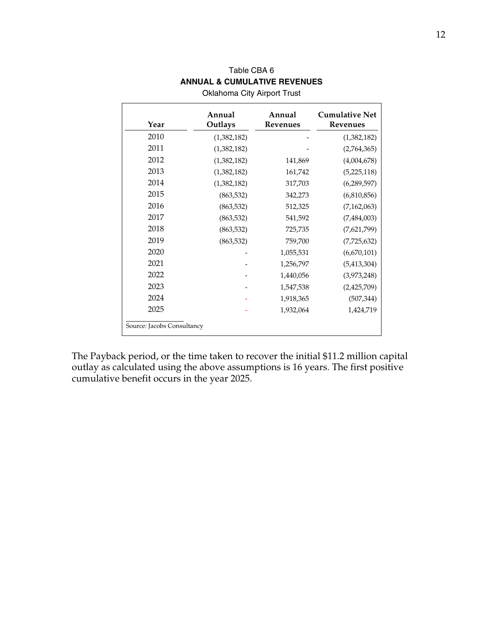| <b>Oklahoma City Airport Trust</b> |                   |                           |                                   |  |  |  |  |  |
|------------------------------------|-------------------|---------------------------|-----------------------------------|--|--|--|--|--|
| Year                               | Annual<br>Outlays | Annual<br><b>Revenues</b> | <b>Cumulative Net</b><br>Revenues |  |  |  |  |  |
| 2010                               | (1,382,182)       |                           | (1,382,182)                       |  |  |  |  |  |
| 2011                               | (1,382,182)       |                           | (2,764,365)                       |  |  |  |  |  |
| 2012                               | (1,382,182)       | 141,869                   | (4,004,678)                       |  |  |  |  |  |
| 2013                               | (1,382,182)       | 161,742                   | (5,225,118)                       |  |  |  |  |  |
| 2014                               | (1,382,182)       | 317,703                   | (6,289,597)                       |  |  |  |  |  |
| 2015                               | (863, 532)        | 342,273                   | (6,810,856)                       |  |  |  |  |  |
| 2016                               | (863, 532)        | 512,325                   | (7,162,063)                       |  |  |  |  |  |
| 2017                               | (863, 532)        | 541,592                   | (7,484,003)                       |  |  |  |  |  |
| 2018                               | (863, 532)        | 725,735                   | (7,621,799)                       |  |  |  |  |  |
| 2019                               | (863, 532)        | 759,700                   | (7,725,632)                       |  |  |  |  |  |
| 2020                               |                   | 1,055,531                 | (6,670,101)                       |  |  |  |  |  |
| 2021                               |                   | 1,256,797                 | (5,413,304)                       |  |  |  |  |  |
| 2022                               |                   | 1,440,056                 | (3,973,248)                       |  |  |  |  |  |
| 2023                               |                   | 1,547,538                 | (2,425,709)                       |  |  |  |  |  |
| 2024                               |                   | 1,918,365                 | (507, 344)                        |  |  |  |  |  |
| 2025                               |                   | 1,932,064                 | 1,424,719                         |  |  |  |  |  |
| Source: Jacobs Consultancy         |                   |                           |                                   |  |  |  |  |  |

# Table CBA 6 **ANNUAL & CUMULATIVE REVENUES**

The Payback period, or the time taken to recover the initial \$11.2 million capital outlay as calculated using the above assumptions is 16 years. The first positive cumulative benefit occurs in the year 2025.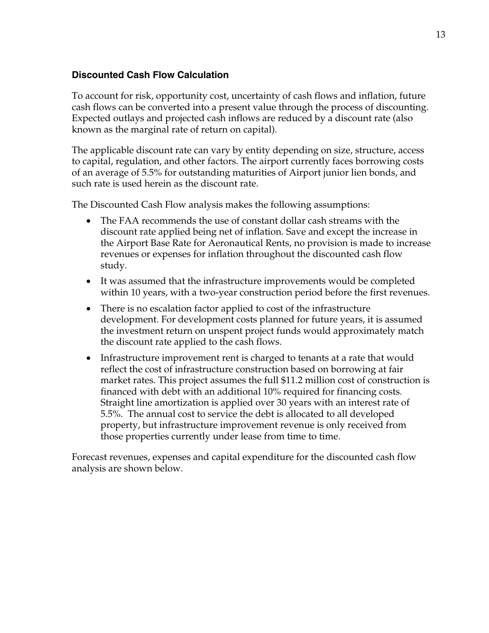### **Discounted Cash Flow Calculation**

To account for risk, opportunity cost, uncertainty of cash flows and inflation, future cash flows can be converted into a present value through the process of discounting. Expected outlays and projected cash inflows are reduced by a discount rate (also known as the marginal rate of return on capital).

The applicable discount rate can vary by entity depending on size, structure, access to capital, regulation, and other factors. The airport currently faces borrowing costs of an average of 5.5% for outstanding maturities of Airport junior lien bonds, and such rate is used herein as the discount rate.

The Discounted Cash Flow analysis makes the following assumptions:

- The FAA recommends the use of constant dollar cash streams with the discount rate applied being net of inflation. Save and except the increase in the Airport Base Rate for Aeronautical Rents, no provision is made to increase revenues or expenses for inflation throughout the discounted cash flow study.
- It was assumed that the infrastructure improvements would be completed within 10 years, with a two-year construction period before the first revenues.
- There is no escalation factor applied to cost of the infrastructure development. For development costs planned for future years, it is assumed the investment return on unspent project funds would approximately match the discount rate applied to the cash flows.
- Infrastructure improvement rent is charged to tenants at a rate that would reflect the cost of infrastructure construction based on borrowing at fair market rates. This project assumes the full \$11.2 million cost of construction is financed with debt with an additional 10% required for financing costs. Straight line amortization is applied over 30 years with an interest rate of 5.5%. The annual cost to service the debt is allocated to all developed property, but infrastructure improvement revenue is only received from those properties currently under lease from time to time.

Forecast revenues, expenses and capital expenditure for the discounted cash flow analysis are shown below.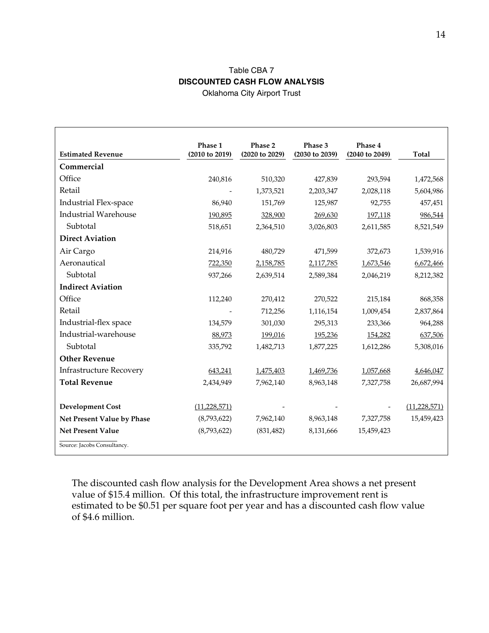# Table CBA 7 **DISCOUNTED CASH FLOW ANALYSIS**

Oklahoma City Airport Trust

| <b>Estimated Revenue</b>       | Phase 1<br>(2010 to 2019) | Phase 2<br>(2020 to 2029) | Phase 3<br>(2030 to 2039) | Phase 4<br>(2040 to 2049) | Total          |
|--------------------------------|---------------------------|---------------------------|---------------------------|---------------------------|----------------|
| Commercial                     |                           |                           |                           |                           |                |
| Office                         | 240,816                   | 510,320                   | 427,839                   | 293,594                   | 1,472,568      |
| Retail                         |                           | 1,373,521                 | 2,203,347                 | 2,028,118                 | 5,604,986      |
| Industrial Flex-space          | 86,940                    | 151,769                   | 125,987                   | 92,755                    | 457,451        |
| <b>Industrial Warehouse</b>    | 190,895                   | 328,900                   | 269,630                   | 197,118                   | 986,544        |
| Subtotal                       | 518,651                   | 2,364,510                 | 3,026,803                 | 2,611,585                 | 8,521,549      |
| <b>Direct Aviation</b>         |                           |                           |                           |                           |                |
| Air Cargo                      | 214,916                   | 480,729                   | 471,599                   | 372,673                   | 1,539,916      |
| Aeronautical                   | 722,350                   | 2,158,785                 | 2,117,785                 | 1,673,546                 | 6,672,466      |
| Subtotal                       | 937,266                   | 2,639,514                 | 2,589,384                 | 2,046,219                 | 8,212,382      |
| <b>Indirect Aviation</b>       |                           |                           |                           |                           |                |
| Office                         | 112,240                   | 270,412                   | 270,522                   | 215,184                   | 868,358        |
| Retail                         |                           | 712,256                   | 1,116,154                 | 1,009,454                 | 2,837,864      |
| Industrial-flex space          | 134,579                   | 301,030                   | 295,313                   | 233,366                   | 964,288        |
| Industrial-warehouse           | 88,973                    | 199,016                   | 195,236                   | 154,282                   | 637,506        |
| Subtotal                       | 335,792                   | 1,482,713                 | 1,877,225                 | 1,612,286                 | 5,308,016      |
| <b>Other Revenue</b>           |                           |                           |                           |                           |                |
| <b>Infrastructure Recovery</b> | 643,241                   | 1,475,403                 | 1,469,736                 | 1,057,668                 | 4,646,047      |
| <b>Total Revenue</b>           | 2,434,949                 | 7,962,140                 | 8,963,148                 | 7,327,758                 | 26,687,994     |
|                                |                           |                           |                           |                           |                |
| <b>Development Cost</b>        | (11, 228, 571)            |                           |                           |                           | (11, 228, 571) |
| Net Present Value by Phase     | (8,793,622)               | 7,962,140                 | 8,963,148                 | 7,327,758                 | 15,459,423     |
| <b>Net Present Value</b>       | (8,793,622)               | (831, 482)                | 8,131,666                 | 15,459,423                |                |
| Source: Jacobs Consultancy.    |                           |                           |                           |                           |                |

The discounted cash flow analysis for the Development Area shows a net present value of \$15.4 million. Of this total, the infrastructure improvement rent is estimated to be \$0.51 per square foot per year and has a discounted cash flow value of \$4.6 million.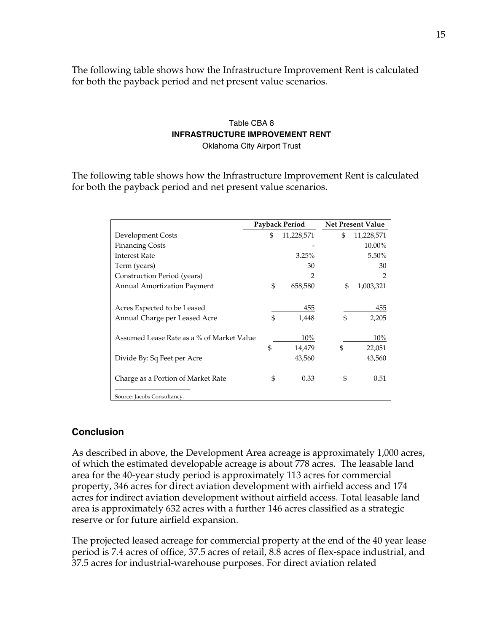The following table shows how the Infrastructure Improvement Rent is calculated for both the payback period and net present value scenarios.

# Table CBA 8 **INFRASTRUCTURE IMPROVEMENT RENT**

Oklahoma City Airport Trust

The following table shows how the Infrastructure Improvement Rent is calculated for both the payback period and net present value scenarios.

|                                           | Payback Period |            | <b>Net Present Value</b> |            |
|-------------------------------------------|----------------|------------|--------------------------|------------|
| Development Costs                         | \$             | 11,228,571 | \$                       | 11,228,571 |
| <b>Financing Costs</b>                    |                |            |                          | 10.00%     |
| <b>Interest Rate</b>                      |                | 3.25%      |                          | 5.50%      |
| Term (years)                              |                | 30         |                          | 30         |
| Construction Period (years)               |                | 2          |                          | 2          |
| <b>Annual Amortization Payment</b>        | \$             | 658,580    | \$                       | 1,003,321  |
|                                           |                |            |                          |            |
| Acres Expected to be Leased               |                | 455        |                          | 455        |
| Annual Charge per Leased Acre             | \$             | 1,448      | \$                       | 2,205      |
|                                           |                |            |                          |            |
| Assumed Lease Rate as a % of Market Value |                | 10%        |                          | 10%        |
|                                           | \$             | 14,479     | \$                       | 22,051     |
| Divide By: Sq Feet per Acre               |                | 43,560     |                          | 43,560     |
|                                           |                |            |                          |            |
| Charge as a Portion of Market Rate        | \$             | 0.33       | \$                       | 0.51       |
|                                           |                |            |                          |            |
| Source: Jacobs Consultancy.               |                |            |                          |            |

### **Conclusion**

As described in above, the Development Area acreage is approximately 1,000 acres, of which the estimated developable acreage is about 778 acres. The leasable land area for the 40-year study period is approximately 113 acres for commercial property, 346 acres for direct aviation development with airfield access and 174 acres for indirect aviation development without airfield access. Total leasable land area is approximately 632 acres with a further 146 acres classified as a strategic reserve or for future airfield expansion.

The projected leased acreage for commercial property at the end of the 40 year lease period is 7.4 acres of office, 37.5 acres of retail, 8.8 acres of flex-space industrial, and 37.5 acres for industrial-warehouse purposes. For direct aviation related